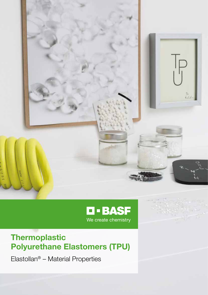



### Thermoplastic Polyurethane Elastomers (TPU)

Elastollan® – Material Properties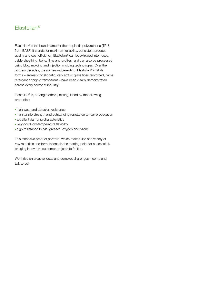### Elastollan®

Elastollan® is the brand name for thermoplastic polyurethane (TPU) from BASF. It stands for maximum reliability, consistent product quality and cost efficiency. Elastollan® can be extruded into hoses, cable sheathing, belts, films and profiles, and can also be processed using blow molding and injection molding technologies. Over the last few decades, the numerous benefits of Elastollan® in all its forms – aromatic or aliphatic, very soft or glass fiber-reinforced, flame retardant or highly transparent – have been clearly demonstrated across every sector of industry.

Elastollan® is, amongst others, distinguished by the following properties:

- high wear and abrasion resistance
- high tensile strength and outstanding resistance to tear propagation
- excellent damping characteristics
- **very good low-temperature flexibility**
- **high resistance to oils, greases, oxygen and ozone.**

This extensive product portfolio, which makes use of a variety of raw materials and formulations, is the starting point for successfully bringing innovative customer projects to fruition.

We thrive on creative ideas and complex challenges – come and talk to us!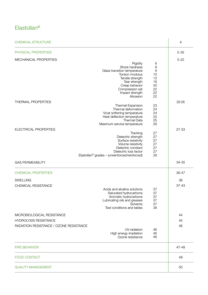### Elastollan®

| <b>CHEMICAL STRUCTURE</b>                                                                                                                                                                                                                                                                                                                                                                                  |                                                                            | 4                        |
|------------------------------------------------------------------------------------------------------------------------------------------------------------------------------------------------------------------------------------------------------------------------------------------------------------------------------------------------------------------------------------------------------------|----------------------------------------------------------------------------|--------------------------|
| PHYSICAL PROPERTIES                                                                                                                                                                                                                                                                                                                                                                                        |                                                                            | $5 - 35$                 |
| MECHANICAL PROPERTIES<br>Rigidity<br>Shore hardness<br>Glass transition temperature<br>Torsion modulus<br>Tensile strength<br>Tear strength<br>Creep behavior<br>Compression set<br>Impact strength<br>Abrasion                                                                                                                                                                                            | 6<br>8<br>9<br>10<br>13<br>18<br>20<br>22<br>22<br>22                      | $5 - 22$                 |
| THERMAL PROPERTIES<br>Thermal Expansion<br>Thermal deformation<br>Vicat softening temperature<br>Heat deflection temperature<br><b>Thermal Data</b><br>Maximum service temperature<br>ELECTRICAL PROPERTIES<br>Tracking<br>Dielectric strength<br>Surface resistivity<br>Volume resistivity<br>Dielectric constant<br>Dielectric loss factor<br>Elastollan <sup>®</sup> grades - (unreinforced/reinforced) | 23<br>24<br>24<br>25<br>25<br>26<br>27<br>27<br>27<br>27<br>27<br>27<br>28 | $23 - 26$<br>27-33       |
| <b>GAS PERMEABILITY</b>                                                                                                                                                                                                                                                                                                                                                                                    |                                                                            | 34-35                    |
| <b>CHEMICAL PROPERTIES</b><br><b>SWELLING</b><br>CHEMICAL RESISTANCE<br>Acids and alcaline solutions<br>Saturated hydrocarbons<br>Aromatic hydrocarbons<br>Lubricating oils and greases<br>Solvents<br>Test conditions and tables                                                                                                                                                                          | 37<br>37<br>37<br>37<br>37<br>38                                           | 36-47<br>36<br>$37 - 43$ |
| MICROBIOLOGICAL RESISTANCE<br><b>HYDROLYSIS RESISTANCE</b><br>RADIATION RESISTANCE / OZONE RESISTANCE<br>UV-radiation<br>High energy irradiation<br>Ozone resistance                                                                                                                                                                                                                                       | 46<br>46<br>46                                                             | 44<br>45<br>46           |
| <b>FIRE BEHAVIOR</b>                                                                                                                                                                                                                                                                                                                                                                                       |                                                                            | 47-48                    |
| <b>FOOD CONTACT</b>                                                                                                                                                                                                                                                                                                                                                                                        |                                                                            | 49                       |
| <b>QUALITY MANAGEMENT</b>                                                                                                                                                                                                                                                                                                                                                                                  |                                                                            | 50                       |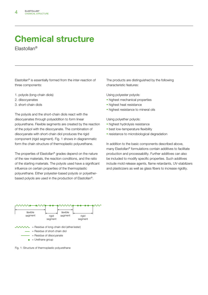# Chemical structure

Elastollan®

Elastollan® is essentially formed from the inter-reaction of three components:

- 1. polyols (long-chain diols)
- 2. diisocyanates
- 3. short-chain diols

The polyols and the short-chain diols react with the diisocyanates through polyaddition to form linear polyurethane. Flexible segments are created by the reaction of the polyol with the diisocyanate. The combination of diisocyanate with short-chain diol produces the rigid component (rigid segment). Fig. 1 shows in diagrammatic form the chain structure of thermoplastic polyurethane.

The properties of Elastollan® grades depend on the nature of the raw materials, the reaction conditions, and the ratio of the starting materials. The polyols used have a significant influence on certain properties of the thermoplastic polyurethane. Either polyester-based polyols or polyetherbased polyols are used in the production of Elastollan®.

The products are distinguished by the following characteristic features:

Using polyester polyols:

- **highest mechanical properties**
- **highest heat resistance**
- **highest resistance to mineral oils**

Using polyether polyols:

- **highest hydrolysis resistance**
- **-** best low-temperature flexibility
- **·** resistance to microbiological degradation

In addition to the basic components described above, many Elastollan® formulations contain additives to facilitate production and processability. Further additives can also be included to modify specific properties. Such additives include mold release agents, flame retardants, UV-stabilizers and plasticizers as well as glass fibers to increase rigidity.



Fig. 1: Structure of thermoplastic polyurethane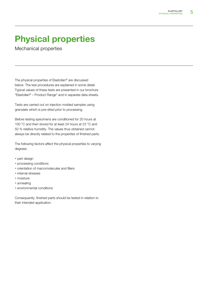Mechanical properties

The physical properties of Elastollan® are discussed below. The test procedures are explained in some detail. Typical values of these tests are presented in our brochure "Elastollan® – Product Range" and in separate data sheets.

Tests are carried out on injection molded samples using granulate which is pre-dried prior to processing.

Before testing specimens are conditioned for 20 hours at 100 °C and then stored for at least 24 hours at 23 °C and 50 % relative humidity. The values thus obtained cannot always be directly related to the properties of finished parts.

The following factors affect the physical properties to varying degrees:

- **part design**
- **•** processing conditions
- **•** orientation of macromolecules and fillers
- **·** internal stresses
- · moisture
- **annealing**
- **E** environmental conditions

Consequently, finished parts should be tested in relation to their intended application.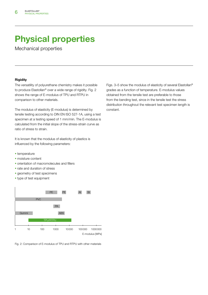Mechanical properties

### **Rigidity**

The versatility of polyurethane chemistry makes it possible to produce Elastollan® over a wide range of rigidity. Fig. 2 shows the range of E-modulus of TPU and RTPU in comparison to other materials.

The modulus of elasticity (E-modulus) is determined by tensile testing according to DIN EN ISO 527-1A, using a test specimen at a testing speed of 1 mm/min. The E-modulus is calculated from the initial slope of the stress-strain curve as ratio of stress to strain.

It is known that the modulus of elasticity of plastics is influenced by the following parameters:

- **temperature**
- · moisture content
- **orientation of macromolecules and fillers**
- rate and duration of stress
- **geometry of test specimens**
- type of test equipment



Fig. 2: Comparison of E-modulus of TPU and RTPU with other materials

Figs. 3–5 show the modulus of elasticity of several Elastollan® grades as a function of temperature. E-modulus values obtained from the tensile test are preferable to those from the bending test, since in the tensile test the stress distribution throughout the relevant test specimen length is constant.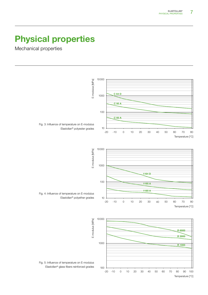Mechanical properties

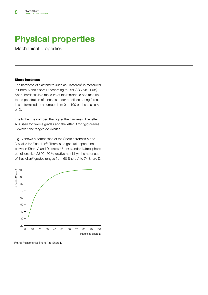Mechanical properties

#### Shore hardness

The hardness of elastomers such as Elastollan® is measured in Shore A and Shore D according to DIN ISO 7619-1 (3s). Shore hardness is a measure of the resistance of a material to the penetration of a needle under a defined spring force. It is determined as a number from 0 to 100 on the scales A or D.

The higher the number, the higher the hardness. The letter A is used for flexible grades and the letter D for rigid grades. However, the ranges do overlap.

Fig. 6 shows a comparison of the Shore hardness A and D scales for Elastollan®. There is no general dependence between Shore A and D scales. Under standard atmospheric conditions (i.e. 23 °C, 50 % relative humidity), the hardness of Elastollan® grades ranges from 60 Shore A to 74 Shore D.



Fig. 6: Relationship: Shore A to Shore D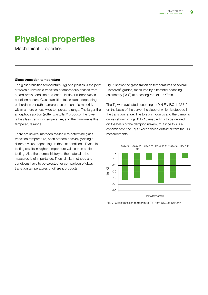Mechanical properties

#### Glass transition temperature

The glass transition temperature (Tg) of a plastics is the point at which a reversible transition of amorphous phases from a hard brittle condition to a visco-elastic or rubber-elastic condition occurs. Glass transition takes place, depending on hardness or rather amorphous portion of a material, within a more or less wide temperature range. The larger the amorphous portion (softer Elastollan® product), the lower is the glass transition temperature, and the narrower is this temperature range.

There are several methods available to determine glass transition temperature, each of them possibly yielding a different value, depending on the test conditions. Dynamic testing results in higher temperature values than static testing. Also the thermal history of the material to be measured is of importance. Thus, similar methods and conditions have to be selected for comparison of glass transition temperatures of different products.

Fig. 7 shows the glass transition temperatures of several Elastollan® grades, measured by differential scanning calorimetry (DSC) at a heating rate of 10 K/min.

The Tg was evaluated according to DIN EN ISO 11357-2 on the basis of the curve, the slope of which is stepped in the transition range. The torsion modulus and the damping curves shown in figs. 8 to 13 enable Tg's to be defined on the basis of the damping maximum. Since this is a dynamic test, the Tg's exceed those obtained from the DSC measurements.



Fig. 7: Glass transition temperature (Tg) from DSC at 10 K/min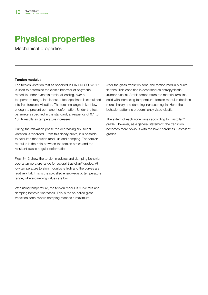Mechanical properties

### Torsion modulus

The torsion vibration test as specified in DIN EN ISO 6721-2 is used to determine the elastic behavior of polymeric materials under dynamic torsional loading, over a temperature range. In this test, a test specimen is stimulated into free torsional vibration. The torsional angle is kept low enough to prevent permanent deformation. Under the test parameters specified in the standard, a frequency of 0.1 to 10 Hz results as temperature increases.

During the relaxation phase the decreasing sinusoidal vibration is recorded. From this decay curve, it is possible to calculate the torsion modulus and damping. The torsion modulus is the ratio between the torsion stress and the resultant elastic angular deformation.

Figs. 8–13 show the torsion modulus and damping behavior over a temperature range for several Elastollan® grades. At low temperature torsion modulus is high and the curves are relatively flat. This is the so-called energy-elastic temperature range, where damping values are low.

With rising temperature, the torsion modulus curve falls and damping behavior increases. This is the so-called glass transition zone, where damping reaches a maximum.

After the glass transition zone, the torsion modulus curve flattens. This condition is described as entropyelastic (rubber-elastic). At this temperature the material remains solid with increasing temperature, torsion modulus declines more sharply and damping increases again. Here, the behavior pattern is predominantly visco-elastic.

The extent of each zone varies according to Elastollan® grade. However, as a general statement, the transition becomes more obvious with the lower hardness Elastollan® grades.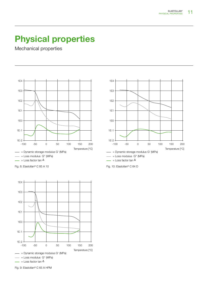Temperature [°C]

### Physical properties

Mechanical properties





Fig. 9: Elastollan® C 65 A HPM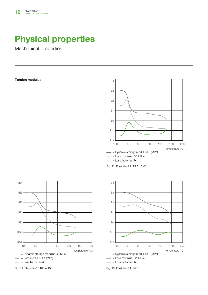Mechanical properties

#### Torsion modulus



Fig. 12: Elastollan® 1175 A 10 W





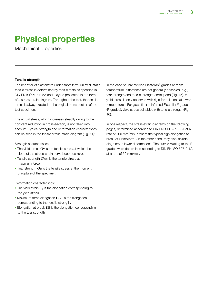Mechanical properties

### Tensile strength

The behavior of elastomers under short-term, uniaxial, static tensile stress is determined by tensile tests as specified in DIN EN ISO 527-2-5A and may be presented in the form of a stress-strain diagram. Throughout the test, the tensile stress is always related to the original cross-section of the test specimen.

The actual stress, which increases steadily owing to the constant reduction in cross-section, is not taken into account. Typical strength and deformation characteristics can be seen in the tensile stress-strain diagram (Fig. 14):

Strength characteristics:

- The yield stress  $\sigma_{\gamma}$  is the tensile stress at which the slope of the stress-strain curve becomes zero.
- Tensile strength  $\sigma$ <sub>max</sub> is the tensile stress at maximum force.
- Tear strength  $\sigma$ B is the tensile stress at the moment of rupture of the specimen.

Deformation characteristics:

- **The yield strain**  $\epsilon$  is the elongation corresponding to the yield stress.
- **Maximum force elongation**  $E_{\text{max}}$  **is the elongation** corresponding to the tensile strength.
- Elongation at break **ε**B is the elongation corresponding to the tear strength

In the case of unreinforced Elastollan® grades at room temperature, differences are not generally observed, e.g., tear strength and tensile strength correspond (Fig. 15). A yield stress is only observed with rigid formulations at lower temperatures. For glass fiber-reinforced Elastollan® grades (R grades), yield stress coincides with tensile strength (Fig. 16).

In one respect, the stress-strain diagrams on the following pages, determined according to DIN EN ISO 527-2-5A at a rate of 200 mm/min, present the typical high elongation to break of Elastollan®. On the other hand, they also include diagrams of lower deformations. The curves relating to the R grades were determined according to DIN EN ISO 527-2-1A at a rate of 50 mm/min.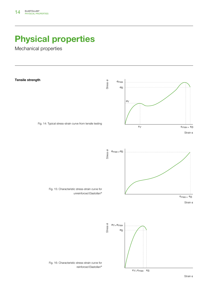Mechanical properties

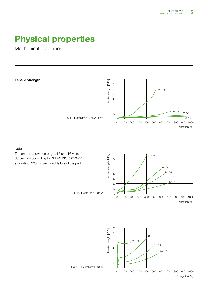Mechanical properties

Tensile strength

Note:



Fig. 17: Elastollan® C 65 A HPM









Fig. 19: Elastollan® C 64 D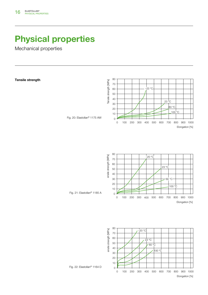Mechanical properties



 $\overline{0}$ 



Fig. 21: Elastollan® 1185 A



Fig. 22: Elastollan® 1164 D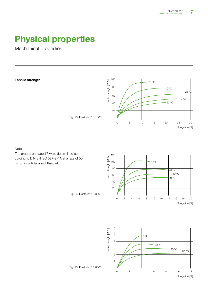Mechanical properties

Tensile strength

100 ensile strength [MPa] ensile strength [MPa] –20 °C 80  $\overline{O^{\circ}C}$  $23 \text{ °C}$ 60 40 °C 60 °C 40 20  $\overline{O}$ 0 5 10 15 20 25 30 Elongation [%]

Note:

The graphs on page 17 were determined according to DIN EN ISO 527-2-1A at a rate of 50 mm/min until failure of the part.





Fig. 23: Elastollan® R 1000



Fig. 25: Elastollan® R 6000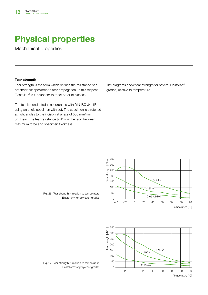Mechanical properties

### Tear strength

Tear strength is the term which defines the resistance of a notched test specimen to tear propagation. In this respect, Elastollan® is far superior to most other of plastics.

The test is conducted in accordance with DIN ISO 34–1Bb using an angle specimen with cut. The specimen is stretched at right angles to the incision at a rate of 500 mm/min until tear. The tear resistance [kN/m] is the ratio between maximum force and specimen thickness.

> 350 Tear strength [kN/m] Tear strength [kN/m] 300 250 200 C 64 D 150 100  $C<sub>85</sub>$ 50 C 65 A HPM 0 80 120 -40 -20 0 20 40 60 100 Temperature [°C]



Fig. 26: Tear strength in relation to temperature Elastollan® for polyester grades

Fig. 27: Tear strength in relation to temperature Elastollan® for polyether grades

The diagrams show tear strength for several Elastollan® grades, relative to temperature.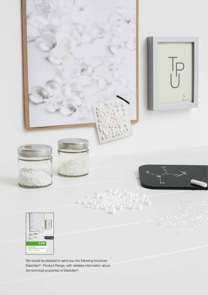

We would be pleased to send you the following brochure: Elastollan®- Product Range, with detailed information about the technical properties of Elastollan®.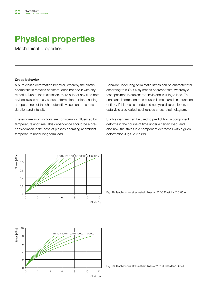Mechanical properties

#### Creep behavior

A pure elastic deformation behavior, whereby the elastic characteristic remains constant, does not occur with any material. Due to internal friction, there exist at any time both a visco-elastic and a viscous deformation portion, causing a dependence of the characteristic values on the stress duration and intensity.

These non-elastic portions are considerably influenced by temperature and time. This dependence should be a preconsideration in the case of plastics operating at ambient temperature under long term load.

Behavior under long-term static stress can be characterized according to ISO 899 by means of creep tests, whereby a test specimen is subject to tensile stress using a load. The constant deformation thus caused is measured as a function of time. If this test is conducted applying different loads, the data yield a so-called isochronous stress-strain diagram.

Such a diagram can be used to predict how a component deforms in the course of time under a certain load, and also how the stress in a component decreases with a given deformation (Figs. 28 to 32).





Fig. 28: Isochronous stress-strain lines at 23 °C Elastollan® C 85 A

Fig. 29: Isochronous stress-strain lines at 23°C Elastollan® C 64 D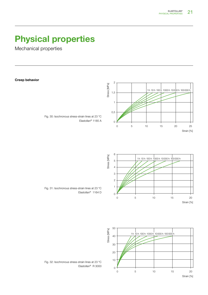Mechanical properties



Strain [%]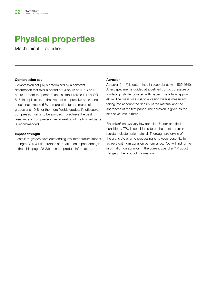Mechanical properties

### Compression set

Compression set [%] is determined by a constant deformation test over a period of 24 hours at 70 °C or 72 hours at room temperature and is standardized in DIN ISO 815. In application, in the event of compressive stress one should not exceed 5 % compression for the more rigid grades and 10 % for the more flexible grades, if noticeable compression set is to be avoided. To achieve the best resistance to compression set annealing of the finished parts is recommended.

#### Impact strength

Elastollan® grades have outstanding low-temperature impact strength. You will find further information on impact strength in the table (page 28-33) or in the product information.

#### Abrasion

Abrasion [mm<sup>3]</sup> is determined in accordance with ISO 4649. A test specimen is guided at a defined contact pressure on a rotating cylinder covered with paper. The total is approx. 40 m. The mass loss due to abrasion wear is measured, taking into account the density of the material and the sharpness of the test paper. The abrasion is given as the loss of volume in mm<sup>3</sup>.

Elastollan® shows very low abrasion. Under practical conditions, TPU is considered to be the most abrasion resistant elastomeric material. Thorough pre-drying of the granulate prior to processing is however essential to achieve optimum abrasion performance. You will find further information on abrasion in the current Elastollan® Product Range or the product information.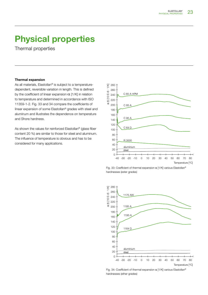Thermal properties

#### Thermal expansion

As all materials, Elastollan® is subject to a temperaturedependent, reversible variation in length. This is defined by the coefficient of linear expansion  $\alpha$  [1/K] in relation to temperature and determined in accordance with ISO 11359-1-2. Fig. 33 and 34 compare the coefficients of linear expansion of some Elastollan® grades with steel and aluminum and illustrates the dependence on temperature and Shore hardness.

As shown the values for reinforced Elastollan® (glass fiber content 20 %) are similar to those for steel and aluminum. The influence of temperature is obvious and has to be considered for many applications.



Fig. 33: Coefficient of thermal expansion α [1/K] various Elastollan® hardnesses (ester grades)



Fig. 34: Coefficient of thermal expansion α [1/K] various Elastollan® hardnesses (ether grades)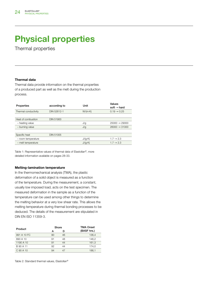Thermal properties

#### Thermal data

Thermal data provide information on the thermal properties of a produced part as well as the melt during the production process.

| Properties           | according to     | Unit            | Values<br>soft $\rightarrow$ hard |
|----------------------|------------------|-----------------|-----------------------------------|
| Thermal conductivity | DIN 52612-1      | $W/(m \cdot K)$ | $0.19 \rightarrow 0.25$           |
|                      |                  |                 |                                   |
| Heat of combustion   | <b>DIN 51900</b> |                 |                                   |
| - heating value      |                  | J/q             | $25000 \rightarrow 29000$         |
| - burning value      |                  | J/g             | $26000 \rightarrow 31000$         |
|                      |                  |                 |                                   |
| Specific heat        | <b>DIN 51005</b> |                 |                                   |
| - room temperature   |                  | J/(q K)         | $1.7 \rightarrow 2.3$             |
| - melt temperature   |                  | J/(q K)         | $1.7 \rightarrow 2.3$             |
|                      |                  |                 |                                   |

Table 1: Representative values of thermal data of Elastollan®, more detailed information available on pages 28-33.

#### Melting-lamination temperature

In the thermomechanical analysis (TMA), the plastic deformation of a solid object is measured as a function of the temperature. During the measurement, a constant, usually low imposed load, acts on the test specimen. The measured deformation in the sample as a function of the temperature can be used among other things to determine the melting behavior at a very low shear rate. This allows the melting temperature during thermal bonding processes to be deduced. The details of the measurement are stipulated in DIN EN ISO 11359-3.

| Product     | Shore |    | <b>TMA Onset</b> |  |  |
|-------------|-------|----|------------------|--|--|
|             |       | D  | (BASF hrs.)      |  |  |
| 991 A 10 FC | 90    | 46 | 136.4            |  |  |
| 890 A 10    | 91    | 48 | 146.2            |  |  |
| 1190 A 10   | 91    | 44 | 161,3            |  |  |
| B 90 A 11   | 92    | 44 | 174.0            |  |  |
| C 90 A 10   | 94    | 47 | 186,1            |  |  |

Table 2: Standard thermal values, Elastollan®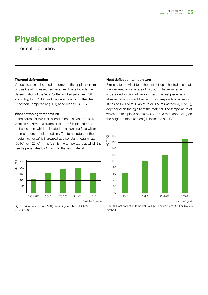Thermal properties

#### Thermal deformation

Various tests can be used to compare the application limits of plastics at increased temperature. These include the determination of the Vicat Softening Temperature (VST) according to ISO 306 and the determination of the Heat Deflection Temperature (HDT) according to ISO 75.

#### Vicat softening temperature

In the course of this test, a loaded needle (Vicat A: 10 N, Vicat B: 50 N) with a diameter of 1  $mm<sup>2</sup>$  is placed on a test specimen, which is located on a plane surface within a temperature transfer medium. The temperature of the medium (oil or air) is increased at a constant heating rate (50 K/h or 120 K/h). The VST is the temperature at which the needle penetrates by 1 mm into the test material.



Fig. 35: Vicat temperature (VST) according to DIN EN ISO 306, Vicat A 120

#### Heat deflection temperature

Similarly to the Vicat test, the test set-up is heated in a heat transfer medium at a rate of 120 K/h. The arrangement is designed as 3-point bending test, the test piece being stressed at a constant load which corresponds to a bending stress of 1.80 MPa, 0.45 MPa or 8 MPa (method A, B or C), depending on the rigidity of the material. The temperature at which the test piece bends by 0.2 to 0.3 mm (depending on the height of the test piece) is indicated as HDT.



Fig. 36: Heat deflection temperature (HDT) according to DIN EN ISO 75, method B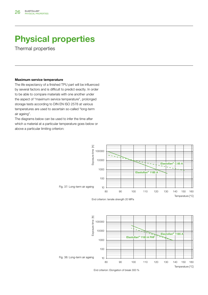Thermal properties

#### Maximum service temperature

The life expectancy of a finished TPU part will be influenced by several factors and is difficult to predict exactly. In order to be able to compare materials with one another under the aspect of "maximum service temperature", prolonged storage tests according to DIN EN ISO 2578 at various temperatures are used to ascertain so-called "long-term air ageing".

The diagrams below can be used to infer the time after which a material at a particular temperature goes below or above a particular limiting criterion:





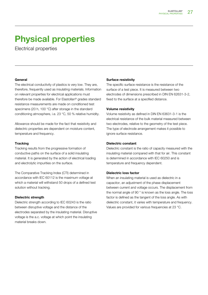Electrical properties

### General

The electrical conductivity of plastics is very low. They are, therefore, frequently used as insulating materials. Information on relevant properties for electrical applications must therefore be made available. For Elastollan® grades standard resistance measurements are made on conditioned test specimens (20 h, 100 °C) after storage in the standard conditioning atmosphere, i.e. 23 °C, 50 % relative humidity.

Allowance should be made for the fact that resistivity and dielectric properties are dependent on moisture content, temperature and frequency.

### **Tracking**

Tracking results from the progressive formation of conductive paths on the surface of a solid insulating material. It is generated by the action of electrical loading and electrolytic impurities on the surface.

The Comparative Tracking Index (CTI) determined in accordance with IEC 60112 is the maximum voltage at which a material will withstand 50 drops of a defined test solution without tracking.

### Dielectric strength

Dielectric strength according to IEC 60243 is the ratio between disruptive voltage and the distance of the electrodes separated by the insulating material. Disruptive voltage is the a.c. voltage at which point the insulating material breaks down.

### Surface resistivity

The specific surface resistance is the resistance of the surface of a test piece. It is measured between two electrodes of dimensions prescribed in DIN EN 62631-3-2, fixed to the surface at a specified distance.

### Volume resistivity

Volume resistivity as defined in DIN EN 63631-3-1 is the electrical resistance of the bulk material measured between two electrodes, relative to the geometry of the test piece. The type of electrode arrangement makes it possible to ignore surface resistance.

### Dielectric constant

Dielectric constant is the ratio of capacity measured with the insulating material compared with that for air. This constant is determined in accordance with IEC 60250 and is temperature and frequency dependent.

### Dielectric loss factor

When an insulating material is used as dielectric in a capacitor, an adjustment of the phase displacement between current and voltage occurs. The displacement from the normal angle of 90 ° is known as the loss angle. The loss factor is defined as the tangent of the loss angle. As with dielectric constant, it varies with temperature and frequency. Values are provided for various frequencies at 23 °C.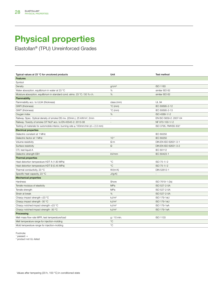Elastollan® (TPU) Unreinforced Grades

| Typical values at 23 °C for uncolored products                                           | Unit              | Test method            |
|------------------------------------------------------------------------------------------|-------------------|------------------------|
| Features                                                                                 |                   |                        |
| Symbol                                                                                   |                   |                        |
| Density                                                                                  | g/cm <sup>3</sup> | ISO 1183               |
| Water absorption, equilibrium in water at 23 °C                                          | %                 | similar ISO 62         |
| Moisture absorption, equilibrium in standard cond. atmo. 23 °C / 50 % r.h.               | %                 | similar ISO 62         |
| Flammability                                                                             |                   |                        |
| Flammability acc. to UL94 (thickness)                                                    | class (mm)        | <b>UL 94</b>           |
| <b>GWFI</b> (thickness)                                                                  | $\degree$ C (mm)  | IEC 60695-2-12         |
| GWIT (thickness)                                                                         | $\degree$ C (mm)  | IEC 60695-2-13         |
| Oxygen index                                                                             | %                 | ISO 4589-1/-2          |
| Railway: Spec. Optical density of smoke DS mx. (20min.), 25 kW/m <sup>2</sup> , 2mm      | $\sim$            | EN ISO 5659-2: 2007-04 |
| Railway: Toxicity of smoke CIT NLP acc. to EN 45545-2: 2013-08                           | $\sim$            | NF X70-100-1/-2        |
| Testing of materials for automobile interior, burning rate $\leq$ 100mm/min (d = 2.0 mm) |                   | ISO 3795, FMVSS 3021   |
| <b>Electrical properties</b>                                                             |                   |                        |
| Dielectric constant at 1 MHz                                                             |                   | IEC 60250              |
| Dielectric factor at 1 MHz                                                               | $10^{-4}$         | IEC 60250              |
| Volume resistivity                                                                       | $\Omega \cdot m$  | DIN EN ISO 62631-3-1   |
| Surface resistivity                                                                      | $\Omega$          | DIN EN ISO 62631-3-2   |
| CTI, test liquid A                                                                       | $\sim$            | IEC 60112              |
| Dielectric strength EB1                                                                  | kV/mm             | IEC 60423-1            |
| <b>Thermal properties</b>                                                                |                   |                        |
| Heat distortion temperature HDT A (1.80 MPa)                                             | $^{\circ}C$       | ISO 75-1/-2            |
| Heat distortion temperature HDT B (0.45 MPa)                                             | $^{\circ}C$       | ISO 75-1/-2            |
| Thermal conductivity, 23 °C                                                              | $W/(m \cdot K)$   | DIN 52612-1            |
| Specific heat capacity, 23 °C                                                            | J/(g·K)           | $\sim$ $-$             |
| <b>Mechanical properties</b>                                                             |                   |                        |
| Hardness                                                                                 | Shore             | ISO 7619-1 (3s)        |
| Tensile modulus of elasticity                                                            | MPa               | ISO 527-2-5A           |
| Tensile strength                                                                         | MPa               | ISO 527-2-5A           |
| Strain at break                                                                          | %                 | ISO 527-2-5A           |
| Charpy impact strength +23 °C                                                            | kJ/m <sup>2</sup> | ISO 179-1eU            |
| Charpy impact strength -30 °C                                                            | kJ/m <sup>2</sup> | ISO 179-1eU            |
| Charpy notched impact strength +23 °C                                                    | kJ/m <sup>2</sup> | ISO 179-1eA            |
| Charpy notched impact strength -30 °C                                                    | kJ/m <sup>2</sup> | ISO 179-1eA            |
| Processing                                                                               |                   |                        |
| Melt mass flow rate MFR, test temperature/load                                           | g / 10 min.       | ISO 1133               |
| Melt temperature range for injection-molding                                             | $^{\circ}C$       |                        |
| Mold temperature range for injection-molding                                             | $^{\circ}C$       |                        |

Footnote:

1 passed: +

2 product not UL-listed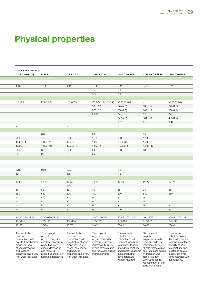reduced density and toxicity of smoke.

### Physical properties

| <b>Unreinforced Grades</b>      |                                 |                                       |                                                |                                |                                                                                          |                                            |
|---------------------------------|---------------------------------|---------------------------------------|------------------------------------------------|--------------------------------|------------------------------------------------------------------------------------------|--------------------------------------------|
| C 78 A 10 (A 15)                | C 85 A 10                       | C 59 D 53                             | 1175 A 10 W                                    | 1185 A 10 FHF                  | 1185 A1 0 HFFR <sup>2</sup>                                                              | 1190 A 10 FHF                              |
|                                 |                                 |                                       |                                                |                                |                                                                                          |                                            |
| 1,18                            | 1,19                            | 1,23                                  | 1,14                                           | 1,23                           | 1,42                                                                                     | 1,25                                       |
|                                 |                                 |                                       | 1.4                                            | 1.4                            |                                                                                          |                                            |
|                                 |                                 |                                       | 0.5                                            | 0.4                            |                                                                                          |                                            |
|                                 |                                 |                                       |                                                |                                |                                                                                          |                                            |
| HB (0.9)                        | HB (0.9-3)                      | HB (0.75)                             | V0 (0.9-1.1), V2 (1.2)                         | VO (0.75-3.0)                  | $\sim$ $-$                                                                               | $VO (0.75-3.0)$                            |
|                                 |                                 |                                       | 960(2.0)                                       | 875 (2.0)                      | 930(1.5)                                                                                 | 875 (1.5)                                  |
|                                 |                                 |                                       | 875 (2.0)<br>25-26                             | 850 (2.0)<br>24                | 800 (1.5)<br>32                                                                          | 800 (1.5)<br>24                            |
|                                 |                                 |                                       |                                                | 627 (2.0)                      | 181 (1.6)                                                                                | 405(1.7)                                   |
|                                 |                                 |                                       |                                                | 0.36                           | 0.11                                                                                     | 0.44                                       |
| $+$                             | $+$                             | $+$                                   | $+$                                            | $+$                            | $+$                                                                                      | $+$                                        |
|                                 |                                 |                                       |                                                |                                |                                                                                          |                                            |
| 6.0                             | 6.0                             | 5.0                                   | 6.5                                            | 5.5                            | 6.2                                                                                      |                                            |
| 700                             | 700                             | 600                                   | 1.400                                          | 960                            | 1.108                                                                                    |                                            |
| 1,00E+11                        | 1,00E+11                        | 1,00E+12                              | 1,00E+9                                        | 1,00E+9                        | 1,00E+7                                                                                  |                                            |
| 1,00E+13                        | 1,00E+13                        | 1,00E+15                              | 1,00E+14                                       | 1,00E+14                       | 1,00E+12                                                                                 |                                            |
| 600                             | 600                             | 600                                   | 600                                            | 600                            | 600                                                                                      |                                            |
| 23                              | 23                              | 28                                    | 25                                             | 26                             |                                                                                          |                                            |
|                                 |                                 |                                       |                                                |                                |                                                                                          |                                            |
|                                 |                                 |                                       |                                                |                                |                                                                                          |                                            |
|                                 |                                 |                                       |                                                |                                |                                                                                          |                                            |
| 0.18                            | 0.21                            | 0.22                                  |                                                | 0.32                           |                                                                                          |                                            |
| 1.7                             | 1.7                             | 1.5                                   |                                                | 1.5                            |                                                                                          |                                            |
|                                 |                                 |                                       |                                                |                                |                                                                                          |                                            |
| 80 (A)                          | 87 (A)                          | 57 (D)                                | 75 (A)                                         | 89 (A)                         | 86 (A)                                                                                   | 90 (A)                                     |
|                                 |                                 | 250                                   |                                                |                                |                                                                                          |                                            |
| 50                              | 50                              | 50                                    | 40                                             | 35                             | 23                                                                                       | 25                                         |
| 650                             | 650                             | 500                                   | 700<br>N                                       | 600                            | 580                                                                                      | 550                                        |
| N<br>N                          | N<br>N                          | N<br>N                                | N                                              | N<br>N                         | N<br>N                                                                                   |                                            |
| N                               | N                               | N                                     | N                                              | N                              | N                                                                                        | N                                          |
| N                               | N                               | 12                                    | N                                              | 120                            | 77                                                                                       | 46                                         |
|                                 |                                 |                                       |                                                |                                |                                                                                          |                                            |
| 10-40 (190/21.6)                | 20-60 (200/21.6)                |                                       | 20-60, 190/10                                  | 25-45, 200/21.6                | 10, 180/5                                                                                | 25-45, 200/21.6                            |
| 200-220                         | 205-225                         | 220-230                               | 210-220                                        | 215-225                        | 215-225                                                                                  | 215-225                                    |
| 15-50                           | 15-50                           | 15-70                                 | 20-40                                          | $20 - 40$                      | $20 - 40$                                                                                | $20 - 40$                                  |
|                                 |                                 |                                       |                                                |                                |                                                                                          |                                            |
| Thermoplastic                   | Thermoplastic                   | Thermoplastic                         | Thermoplastic                                  | Thermoplastic                  | Thermoplastic                                                                            | Thermoplastic                              |
| polyester<br>polyurethane with  | polyester<br>polyurethane with  | polyester<br>polyurethane with        | polyether<br>polyurethane with                 | polyether<br>polyurethane with | polyether<br>polyurethane with                                                           | polyether polyure-<br>thane with excellent |
| excellent mechanical            | excellent mechanical            | excellent mechanical                  | excellent hydrolysis                           | excellent hydrolysis           | excellent hydrolysis                                                                     | hydrolysis resistance,                     |
| properties, very                | properties, very                | properties, very                      | resistance, flexibility                        | resistance, flexibility        | resistance, flexibility                                                                  | flexibility at cold                        |
| strong dampening<br>and rebound | strong dampening<br>and rebound | strong dampening<br>and rebound       | at cold temperatures<br>and resistance against | at cold temperatures           | at cold temperatures<br>and resistance against and resistance against resistance against | temperatures and                           |
| properties and a very           | properties and a very           | properties and a very microorganisms. |                                                | microorganisms;                | microorganisms;                                                                          | microorganisms;                            |
| high wear resistance.           | high wear resistance.           | high wear resistance.                 |                                                | flame-retardant                | flame-retardant                                                                          | flame-retardant with-                      |
|                                 |                                 |                                       |                                                | without halogens.              | without halogens;                                                                        | out halogens.                              |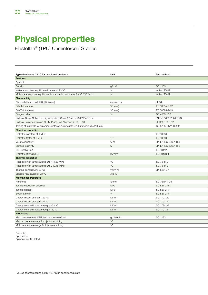Elastollan® (TPU) Unreinforced Grades

| Typical values at 23 °C for uncolored products                                           | Unit              | Test method            |
|------------------------------------------------------------------------------------------|-------------------|------------------------|
| Features                                                                                 |                   |                        |
| Symbol                                                                                   |                   |                        |
| Density                                                                                  | g/cm <sup>3</sup> | ISO 1183               |
| Water absorption, equilibrium in water at 23 °C                                          | %                 | similar ISO 62         |
| Moisture absorption, equilibrium in standard cond. atmo. 23 °C / 50 % r.h.               | %                 | similar ISO 62         |
| Flammability                                                                             |                   |                        |
| Flammability acc. to UL94 (thickness)                                                    | class (mm)        | <b>UL 94</b>           |
| GWFI (thickness)                                                                         | $^{\circ}$ C (mm) | IEC 60695-2-12         |
| GWIT (thickness)                                                                         | $^{\circ}$ C (mm) | IEC 60695-2-13         |
| Oxygen index                                                                             | $\%$              | ISO 4589-1/-2          |
| Railway: Spec. Optical density of smoke DS mx. (20min.), 25 kW/m <sup>2</sup> , 2mm      | $\sim$            | EN ISO 5659-2: 2007-04 |
| Railway: Toxicity of smoke CIT NLP acc. to EN 45545-2: 2013-08                           | $\sim$            | NF X70-100-1/-2        |
| Testing of materials for automobile interior, burning rate $\leq$ 100mm/min (d = 2.0 mm) |                   | ISO 3795, FMVSS 3021   |
| <b>Electrical properties</b>                                                             |                   |                        |
| Dielectric constant at 1 MHz                                                             |                   | <b>IEC 60250</b>       |
| Dielectric factor at 1 MHz                                                               | $10^{-4}$         | IEC 60250              |
| Volume resistivity                                                                       | $\Omega$ ·m       | DIN EN ISO 62631-3-1   |
| Surface resistivity                                                                      | $\Omega$          | DIN EN ISO 62631-3-2   |
| CTI, test liquid A                                                                       | $\sim$            | IEC 60112              |
| Dielectric strength EB1                                                                  | kV/mm             | IEC 60423-1            |
| <b>Thermal properties</b>                                                                |                   |                        |
| Heat distortion temperature HDT A (1.80 MPa)                                             | $^{\circ}C$       | ISO 75-1/-2            |
| Heat distortion temperature HDT B (0.45 MPa)                                             | $^{\circ}C$       | ISO 75-1/-2            |
| Thermal conductivity, 23 °C                                                              | $W/(m \cdot K)$   | DIN 52612-1            |
| Specific heat capacity, 23 °C                                                            | $J/(g \cdot K)$   | $\omega_{\rm{max}}$    |
| <b>Mechanical properties</b>                                                             |                   |                        |
| Hardness                                                                                 | Shore             | ISO 7619-1 (3s)        |
| Tensile modulus of elasticity                                                            | MPa               | ISO 527-2-5A           |
| Tensile strength                                                                         | MPa               | ISO 527-2-5A           |
| Strain at break                                                                          | $\%$              | ISO 527-2-5A           |
| Charpy impact strength +23 °C                                                            | kJ/m <sup>2</sup> | ISO 179-1eU            |
| Charpy impact strength -30 °C                                                            | kJ/m <sup>2</sup> | ISO 179-1eU            |
| Charpy notched impact strength +23 °C                                                    | kJ/m <sup>2</sup> | ISO 179-1eA            |
| Charpy notched impact strength -30 °C                                                    | kJ/m <sup>2</sup> | ISO 179-1eA            |
|                                                                                          |                   |                        |
| Processing<br>Melt mass flow rate MFR, test temperature/load                             | g / 10 min.       | ISO 1133               |
|                                                                                          | $^{\circ}{\rm C}$ |                        |
| Melt temperature range for injection-molding                                             | $^{\circ}$ C      |                        |
| Mold temperature range for injection-molding                                             |                   |                        |

Footnote:

1 passed: +

2 product not UL-listed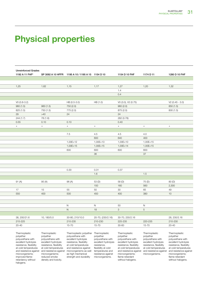| <b>Unreinforced Grades</b>                |                                                                                       |                                                   |                                           |                                           |                                                                      |                                           |
|-------------------------------------------|---------------------------------------------------------------------------------------|---------------------------------------------------|-------------------------------------------|-------------------------------------------|----------------------------------------------------------------------|-------------------------------------------|
| 1192 A 11 FHF <sup>2</sup>                |                                                                                       | SP 3092 A 10 HFFR 1195 A 10 / 1195 A 15 1154 D 10 |                                           | 1154 D 10 FHF                             | 1174 D 11                                                            | 1280 D 10 FHF                             |
|                                           |                                                                                       |                                                   |                                           |                                           |                                                                      |                                           |
|                                           |                                                                                       |                                                   |                                           |                                           |                                                                      |                                           |
| 1,25                                      | 1,62                                                                                  | 1,15                                              | 1,17                                      | 1,27                                      | 1,20                                                                 | 1,32                                      |
|                                           |                                                                                       |                                                   |                                           | 1.4                                       |                                                                      |                                           |
|                                           |                                                                                       |                                                   |                                           | 0.4                                       |                                                                      |                                           |
|                                           |                                                                                       |                                                   |                                           |                                           |                                                                      |                                           |
| $VO (0.8-3.2)$                            |                                                                                       | HB (0.5-3.0)                                      | HB (1.0)                                  | VO (3.0), V2 (0.75)                       |                                                                      | $V2(0.45 - 3.0)$                          |
| 960 (1.5)                                 | 960(1.5)                                                                              | 750 (2.0)                                         |                                           | 960 (2.0)                                 |                                                                      | 850 (1.5)                                 |
| 825 (1.5)                                 | 750 (1.5)                                                                             | 775 (2.0)                                         |                                           | 875 (2.0)                                 |                                                                      | 800 (1.5)                                 |
| 29                                        | >40                                                                                   | 24                                                |                                           | 24                                        |                                                                      |                                           |
| 244 (1.7)                                 | 78 (1.6)                                                                              |                                                   |                                           | 282 (0.78)                                |                                                                      |                                           |
| 0.55                                      | 0.10                                                                                  | 0.10                                              |                                           | 0.40                                      |                                                                      |                                           |
| $+$                                       | $+$                                                                                   | $+$                                               | $+$                                       | $+$                                       | $+$                                                                  | $+$                                       |
|                                           |                                                                                       |                                                   |                                           |                                           |                                                                      |                                           |
|                                           |                                                                                       | 7.5                                               | 4.5                                       | 4.5                                       | 4.0                                                                  |                                           |
|                                           |                                                                                       |                                                   | 600                                       | 640                                       | 400                                                                  |                                           |
|                                           |                                                                                       | 1,00E+12                                          | 1,00E+13                                  | 1,00E+10                                  | 1,00E+15                                                             |                                           |
|                                           |                                                                                       | 1,00E+15                                          | 1,00E+15                                  | 1,00E+14                                  | 1,00E+15                                                             |                                           |
|                                           |                                                                                       | 600                                               | 600                                       | 600                                       | 600                                                                  |                                           |
|                                           |                                                                                       |                                                   | 36                                        |                                           | 37                                                                   |                                           |
|                                           |                                                                                       |                                                   |                                           |                                           |                                                                      |                                           |
|                                           |                                                                                       |                                                   |                                           |                                           |                                                                      |                                           |
|                                           |                                                                                       |                                                   |                                           |                                           |                                                                      |                                           |
|                                           |                                                                                       | 0.30                                              | 0.31                                      | 0.37                                      |                                                                      |                                           |
|                                           |                                                                                       |                                                   | 1.6                                       |                                           | 1.5                                                                  |                                           |
|                                           |                                                                                       |                                                   |                                           |                                           |                                                                      |                                           |
| 91 (A)                                    | 95 (A)                                                                                | 96 (A)                                            | 53 (D)                                    | 58 (D)                                    | 75 (D)                                                               | 80 (D)                                    |
|                                           |                                                                                       |                                                   | 150                                       | 160                                       | 560                                                                  | 2,300                                     |
| 17                                        | 15                                                                                    | 55                                                | 50                                        | 30                                        | 65                                                                   | 49                                        |
| 550                                       | 400                                                                                   | 500                                               | 450                                       | 400                                       | 380                                                                  | 10                                        |
|                                           |                                                                                       |                                                   |                                           |                                           |                                                                      |                                           |
|                                           |                                                                                       |                                                   |                                           |                                           |                                                                      |                                           |
|                                           |                                                                                       | N                                                 | N                                         | 50                                        | N                                                                    |                                           |
|                                           |                                                                                       | N                                                 | 18                                        | $\mathcal{S}$                             | 5 <sup>5</sup>                                                       |                                           |
| 38, 200/21.6                              | 10, 180/5.0                                                                           | 30-80, 210/10.0                                   |                                           | 20-70, (230/2.16) 30-70, 230/2.16         |                                                                      | 28, 230/2.16                              |
| 215-225                                   |                                                                                       | 210-235                                           | 210-230                                   | 225-235                                   | 220-235                                                              | 210-230                                   |
| 20-40                                     |                                                                                       | 15-70                                             | $15 - 70$                                 | 30-60                                     | 15-70                                                                | $20 - 40$                                 |
|                                           |                                                                                       |                                                   |                                           |                                           |                                                                      |                                           |
| Thermoplastic                             | Thermoplastic                                                                         | Thermoplastic polyether Thermoplastic             |                                           | Thermoplastic                             | Thermoplastic                                                        | Thermoplastic                             |
| polyether                                 | polyether                                                                             | polyurethane with                                 | polyether                                 | polyether                                 | polyether                                                            | polyether                                 |
| polyurethane with<br>excellent hydrolysis | polyurethane with<br>excellent hydrolysis                                             | excellent hydrolysis<br>resistance, flexibility   | polyurethane with<br>excellent hydrolysis | polyurethane with<br>excellent hydrolysis | polyurethane with<br>excellent hydrolysis                            | polyurethane with<br>excellent hydrolysis |
| resistance, flexibility                   | resistance, flexibility                                                               | at cold temperatures                              | resistance,                               | resistance, flexibility                   | resistance, flexibility                                              | resistance, flexibility                   |
| at cold temperatures                      | at cold temperatures                                                                  | and resistance against                            | flexibility at cold                       | at cold temperatures                      | at cold temperatures                                                 | at cold temperatures                      |
|                                           | and resistance against and resistance against microorganisms as well temperatures and |                                                   |                                           |                                           | and resistance against and resistance against and resistance against |                                           |
| microorganisms;<br>improved flame-        | microorganisms;<br>reduced smoke                                                      | as high mechanical<br>strength and durability     | resistance against<br>microorganisms.     | microorganisms;<br>flame-retardant        | microorganisms.                                                      | microorganisms;<br>flame-retardant        |
| retardancy without                        | density and toxicity.                                                                 |                                                   |                                           | without halogens.                         |                                                                      | without halogens.                         |
| halogens.                                 |                                                                                       |                                                   |                                           |                                           |                                                                      |                                           |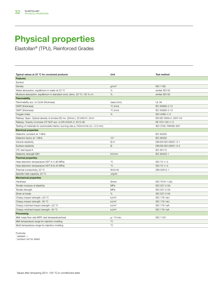Elastollan® (TPU), Reinforced Grades

| Typical values at 23 °C for uncolored products                                            | Unit                     | Test method              |
|-------------------------------------------------------------------------------------------|--------------------------|--------------------------|
| <b>Features</b>                                                                           |                          |                          |
| Symbol                                                                                    |                          |                          |
| Density                                                                                   | g/cm <sup>3</sup>        | <b>ISO 1183</b>          |
| Water absorption, equilibrium in water at 23 °C                                           | $\%$                     | similar ISO 62           |
| Moisture absorption, equilibrium in standard cond. atmo. 23 °C / 50 % r.h.                | %                        | similar ISO 62           |
| Flammability                                                                              |                          |                          |
| Flammability acc. to UL94 (thickness)                                                     | class (mm)               | <b>UL 94</b>             |
| GWFI (thickness)                                                                          | $°C$ (mm)                | IEC 60695-2-12           |
| GWIT (thickness)                                                                          | $\degree$ C (mm)         | IEC 60695-2-13           |
| Oxygen index                                                                              | %                        | ISO 4589-1/-2            |
| Railway: Spec. Optical density of smoke DS mx. (20min.), 25 kW/m <sup>2</sup> , 2mm       | $\bar{a}$                | EN ISO 5659-2: 2007-04   |
| Railway: Toxicity of smoke CIT NLP acc. to EN 45545-2: 2013-08                            | $\overline{\phantom{a}}$ | NF X70-100-1/-2          |
| Testing of materials for automobile interior, burning rate $\leq 100$ mm/min (d = 2.0 mm) |                          | ISO 3795, FMVSS 3021     |
| <b>Electrical properties</b>                                                              |                          |                          |
| Dielectric constant at 1 MHz                                                              |                          | <b>IEC 60250</b>         |
| Dielectric factor at 1 MHz                                                                | $10^{-4}$                | <b>IEC 60250</b>         |
| Volume resistivity                                                                        | $\Omega \cdot m$         | DIN EN ISO 62631-3-1     |
| Surface resistivity                                                                       | $\Omega$                 | DIN EN ISO 62631-3-2     |
| CTI, test liquid A                                                                        | ÷.                       | IEC 60112                |
| Dielectric strength EB1                                                                   | kV/mm                    | IEC 60423-1              |
| <b>Thermal properties</b>                                                                 |                          |                          |
| Heat distortion temperature HDT A (1.80 MPa)                                              | $^{\circ}C$              | ISO 75-1/-2              |
| Heat distortion temperature HDT B (0.45 MPa)                                              | $^{\circ}C$              | ISO 75-1/-2              |
| Thermal conductivity, 23 °C                                                               | $W/(m \cdot K)$          | DIN 52612-1              |
| Specific heat capacity, 23 °C                                                             | $J/(g \cdot K)$          | $\overline{\phantom{a}}$ |
| <b>Mechanical properties</b>                                                              |                          |                          |
| Hardness                                                                                  | Shore                    | ISO 7619-1 (3s)          |
| Tensile modulus of elasticity                                                             | MPa                      | ISO 527-2-5A             |
| Tensile strength                                                                          | MPa                      | ISO 527-2-5A             |
| Strain at break                                                                           | %                        | ISO 527-2-5A             |
| Charpy impact strength +23 °C                                                             | kJ/m <sup>2</sup>        | ISO 179-1eU              |
| Charpy impact strength -30 °C                                                             | kJ/m <sup>2</sup>        | <b>ISO 179-1eU</b>       |
| Charpy notched impact strength +23 °C                                                     | kJ/m <sup>2</sup>        | ISO 179-1eA              |
| Charpy notched impact strength -30 °C                                                     | kJ/m <sup>2</sup>        | ISO 179-1eA              |
| Processing                                                                                |                          |                          |
| Melt mass flow rate MFR, test temperature/load                                            | g / 10 min.              | ISO 1133                 |
| Melt temperature range for injection-molding                                              | $^{\circ}{\rm C}$        |                          |
| Mold temperature range for injection-molding                                              | $^{\circ} \text{C}$      |                          |

Footnote:

1 passed: +

2 product not UL-listed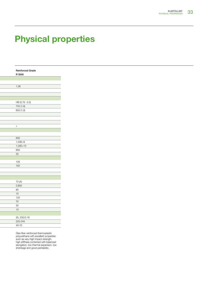|  | <b>Reinforced Grade</b> |
|--|-------------------------|
|  | R 3000                  |
|  |                         |
|  |                         |
|  | 1,38                    |
|  |                         |
|  |                         |
|  |                         |
|  | HB (0.75 -3.0)          |
|  |                         |
|  | 725 (1.9)               |
|  | 650 (1.9)               |
|  |                         |
|  |                         |
|  |                         |
|  | $\pm$                   |
|  |                         |
|  |                         |
|  | 600                     |
|  | $1,00E+9$               |
|  | $1,00E+15$              |
|  |                         |
|  | 600                     |
|  | 35                      |
|  |                         |
|  | 126                     |
|  | $\overline{162}$        |
|  |                         |
|  |                         |
|  |                         |
|  | 73 (A)                  |
|  | 2,800                   |
|  | 80                      |
|  | $\overline{10}$         |
|  | 120                     |
|  | 70                      |
|  | 30 <sup>7</sup>         |
|  | 10                      |
|  |                         |
|  |                         |
|  | 25, 230/2.16            |
|  | 225-245                 |
|  | 40-70                   |
|  |                         |

Glas fiber reinforced thermoplastic polyurethane with excellent properties such as very high impact strength, high stiffness combined with balanced elongation, low thermal expansion, low shrinkage and good paintability.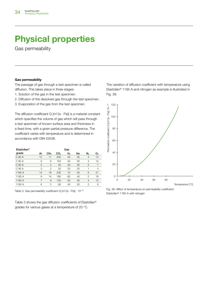Gas permeability

### Gas permeability

The passage of gas through a test specimen is called diffusion. This takes place in three stages:

- 1. Solution of the gas in the test specimen.
- 2. Diffusion of the dissolved gas through the test specimen.
- 3. Evaporation of the gas from the test specimen.

The diffusion coefficient  $Q[m^2/(s \cdot Pa)]$  is a material constant which specifies the volume of gas which will pass through a test specimen of known surface area and thickness in a fixed time, with a given partial pressure difference. The coefficient varies with temperature and is determined in accordance with DIN 53536.

| Elastollan <sup>®</sup> |                |                 |                 | Gas            |    |                |                |
|-------------------------|----------------|-----------------|-----------------|----------------|----|----------------|----------------|
| grade                   | Αr             | CH <sub>4</sub> | CO <sub>2</sub> | H <sub>2</sub> | He | N,             | O <sub>2</sub> |
| C 80 A                  | 12             | 11              | 200             | 45             | 35 | $\overline{4}$ | 14             |
| C 85 A                  | 9              | 6               | 150             | 40             | 30 | 3              | 10             |
| C 90 A                  | 5              | $\overline{4}$  | 40              | 30             | 25 | $\overline{2}$ | $\overline{7}$ |
| C 95 A                  | 3              | $\overline{c}$  | 20              | 20             | 20 | 1              | $\overline{4}$ |
| 1180 A                  | 14             | 18              | 230             | 70             | 50 | 6              | 21             |
| 1185 A                  | 9              | 14              | 180             | 60             | 40 | 5              | 16             |
| 1190 A                  | $\overline{7}$ | 9               | 130             | 50             | 30 | $\overline{4}$ | 12             |
| 1195 A                  | 6              | 5               | 90              | 40             | 20 | 3              | 8              |

Table 3: Gas permeability coefficient Q  $[m^2/(s\cdot Pa)]\cdot 10^{-18}$ 

Table 3 shows the gas diffusion coefficients of Elastollan® grades for various gases at a temperature of 20 °C.

The variation of diffusion coefficient with temperature using Elastollan® 1185 A and nitrogen as example is illustrated in Fig. 39.



Fig. 39: Affect of temperature on permeability coefficient: Elastollan® 1185 A with nitrogen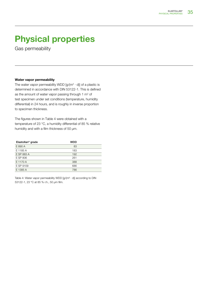Gas permeability

#### Water vapor permeability

The water vapor permeability WDD  $[g/(m^2 \cdot d)]$  of a plastic is determined in accordance with DIN 53122-1. This is defined as the amount of water vapor passing through 1  $m<sup>2</sup>$  of test specimen under set conditions (temperature, humidity differential) in 24 hours, and is roughly in inverse proportion to specimen thickness.

The figures shown in Table 4 were obtained with a temperature of 23 °C, a humidity differential of 85 % relative humidity and with a film thickness of 50 μm.

| Elastollan <sup>®</sup> grade | WDD |  |
|-------------------------------|-----|--|
| E 890 A                       | 83  |  |
| E 1185 A                      | 183 |  |
| E SP 883 A                    | 192 |  |
| E SP 806                      | 261 |  |
| E 1170 A                      | 388 |  |
| E SP 9109                     | 686 |  |
| E 1385 A                      | 786 |  |

Table 4: Water vapor permeability WDD  $[g/(m^2 \cdot d)]$  according to DIN 53122-1, 23 °C at 85 % r.h., 50 μm film.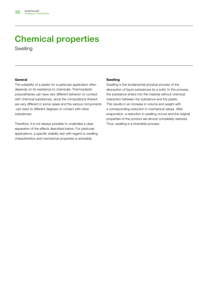Swelling

### General

The suitability of a plastic for a particular application often depends on its resistance to chemicals. Thermoplastic polyurethanes can have very different behavior on contact with chemical substances, since the compositions thereof are very different in some cases and the various components can react to different degrees on contact with other substances.

Therefore, it is not always possible to undertake a clear separation of the effects described below. For particular applications, a specific stability test with regard to swelling characteristics and mechanical properties is advisable.

#### Swelling

Swelling is the fundamental physical process of the absorption of liquid substances by a solid. In this process, the substance enters into the material without chemical interaction between the substance and the plastic. This results in an increase in volume and weight with a corresponding reduction in mechanical values. After evaporation, a reduction in swelling occurs and the original properties of the product are almost completely restored. Thus, swelling is a reversible process.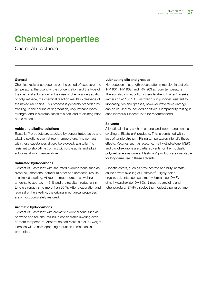Chemical resistance

### General

Chemical resistance depends on the period of exposure, the temperature, the quantity, the concentration and the type of the chemical substance. In the case of chemical degradation of polyurethane, the chemical reaction results in cleavage of the molecular chains. This process is generally preceded by swelling. In the course of degradation, polyurethane loses strength, and in extreme cases this can lead to disintegration of the material.

### Acids and alkaline solutions

Elastollan® products are attacked by concentrated acids and alkaline solutions even at room temperature. Any contact with these substances should be avoided. Elastollan<sup>®</sup> is resistant to short-time contact with dilute acids and alkali solutions at room temperature.

### Saturated hydrocarbons

Contact of Elastollan® with saturated hydrocarbons such as diesel oil, isooctane, petroleum ether and kerosene, results in a limited swelling. At room temperature, this swelling amounts to approx. 1 - 3 % and the resultant reduction in tensile strength is no more than 20 %. After evaporation and reversal of the swelling, the original mechanical properties are almost completely restored.

### Aromatic hydrocarbons

Contact of Elastollan® with aromatic hydrocarbons such as benzene and toluene, results in considerable swelling even at room temperature. Absorption can result in a 50 % weight increase with a corresponding reduction in mechanical properties.

### Lubricating oils and greases

No reduction in strength occurs after immersion in test oils IRM 901, IRM 902, and IRM 903 at room temperature. There is also no reduction in tensile strength after 3 weeks immersion at 100 °C. Elastollan® is in principal resistant to lubricating oils and greases, however irreversible damage can be caused by included additives. Compatibility testing in each individual lubricant is to be recommended.

### Solvents

Aliphatic alcohols, such as ethanol and isopropanol, cause swelling of Elastollan® products. This is combined with a loss of tensile strength. Rising temperatures intensify these effects. Ketones such as acetone, methylethylketone (MEK) and cyclohexanone are partial solvents for thermoplastic polyurethane elastomers. Elastollan® products are unsuitable for long-term use in these solvents.

Aliphatic esters, such as ethyl acetate and butyl acetate, cause severe swelling of Elastollan®. Highly polar organic solvents such as dimethylformamide (DMF), dimethylsulphoxide (DMSO), N-methylpyrrolidine and tetrahydrofuran (THF) dissolve thermoplastic polyurethane.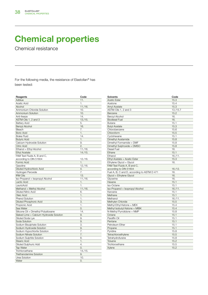Chemical resistance

For the following media, the resistance of Elastollan® has been tested:

| Reagents                                 | Code    |
|------------------------------------------|---------|
| Adblue                                   | 11.     |
| Acetic Acid                              | 1.      |
| Alcohol                                  | 11./16. |
| Ammonium Chloride Solution               | 10.     |
| <b>Ammonium Solution</b>                 | 10.     |
| Anti-freeze                              | 14.     |
| ASTM-Oils 1, 2 and 3                     | 13./15. |
| <b>Battery Acid</b>                      | 5.      |
| <b>Benzyl Alcohol</b>                    | 16.     |
| Bleach                                   | 7.      |
| <b>Boric Acid</b>                        | 1.      |
| <b>Brake Fluid</b>                       | 14.     |
| <b>Butyric Acid</b>                      | 1.      |
| Calcium Hydroxide Solution               | 9.      |
| <b>Citric Acid</b>                       | 2.      |
| Ethanol = Ethyl Alcohol                  | 11./16. |
| <b>Ethyl Acetate</b>                     | 14./15. |
| FAM Test Fluids A, B and C,              |         |
| according to DIN 51604                   | 12./16. |
| Formic Acid                              | 1.      |
| Gasoline                                 | 12./16. |
| Diluted Hydrochloric Acid                | 4.      |
| Hydrogen Peroxide                        | 7.      |
| <b>IRM Oils</b>                          | 13.     |
| Iso-Propanol = Isopropyl Alcohol         | 11./16. |
| Lactic Acid                              | 1.      |
| LauricAcid                               | 1.      |
| Methanol = Methyl Alcohol                | 11./16. |
| <b>Diluted Nitric Acid</b>               | 6.      |
| Oleic Acid                               | 1.      |
| <b>Phenol Solution</b>                   | 1.      |
| <b>Diluted Phosphoric Acid</b>           | 3.      |
| Propionic Acid                           | 1.      |
| Sea Water                                | 0.      |
| Silicone Oil = Dimethyl Polysiloxane     | 14.     |
| Slaked Lime = Calcium Hydroxide Solution | 9.      |
| Diluted Soda Lye                         | 9.      |
| Soda Solution                            | 9.      |
| Sodium Bisulphate Solution               | З.      |
| Sodium Hydroxide Solution                | 9.      |
| Sodium Hypochlorite Solution             | 7.      |
| Sodium Nitrate Solution                  | 7.      |
| Sodium Sulphite Solution                 | 8.      |
| <b>Stearic Acid</b>                      | 1.      |
| <b>Diluted Sulphuric Add</b>             | 4.      |
| <b>Tap Water</b>                         | 0.      |
| Trichloroethane                          | 14./15. |
| <b>Triethanolamine Solution</b>          | 9.      |
| Urea Solution                            | 10.     |
| Water                                    | 0.      |

| Solvents                                    | Code      |
|---------------------------------------------|-----------|
| <b>Acetic Ester</b>                         | 15.3      |
| Acetone                                     | 15.4      |
| <b>Amyl Acetate</b>                         | 15.3      |
| ASTM-Oils 1, 2 and 3                        | 13./15.7  |
| Benzene                                     | 15.2      |
| Benzyl Alcohol                              | 16.       |
| <b>Biodiesel Fuel</b>                       | 16.       |
| <b>Butane</b>                               | 15.1      |
| <b>Butyl Acetate</b>                        | 15.3      |
| Chlorobenzene                               | 15.6      |
| Chloroform                                  | 15.5      |
| Cyclohexane                                 | 15.1      |
| Dimethyl Acetamide                          | 15.8      |
| Dimethyl Formamide = DMF                    | 15.8      |
| Dimethyl Sulphoxide = DMSO                  | 15.8      |
| <b>Diesel Fuel</b>                          | 16.       |
| Ethane                                      | 15.1      |
| Ethanol                                     | 16. / 11. |
| Ethyl Acetate = Acetic Ester                | 15.3      |
| Ethylene Glycol = Glycol                    | 16.       |
| FAM Test Fluids A, B and C,                 |           |
| according to DIN 51604                      | 16./12.   |
| Fuel A, B, C and D, according to ASTM D 471 | 16.       |
| Glycol = Ethylene Glycol                    | 16.       |
| Glycerine                                   | 16.       |
| Hexane                                      | 15.1      |
| Iso-Octane                                  | 15.1      |
| Iso-Propanol = Isopropyl Alcohol            | 16. / 11. |
| Kerosine                                    | 15.1      |
| Methane                                     | 15.1      |
| Methanol                                    | 16. / 11. |
| Methylen Chloride                           | 15.5      |
| Methyl Ethyl Ketone = MEK                   | 15.4      |
| Methyl Isobutyl Ketone = MIBK               | 15.4      |
| N-Methyl Pyrrolidone = NMP                  | 15.8      |
| Octane                                      | 15.1      |
| Paraffin Oil                                | 15.1      |
| Pentane                                     | 15.1      |
| Petroleum Ether                             | 15.1      |
| Propane                                     | 15.1      |
| Pyridine                                    | 15.8      |
| Tetrachloroethylene                         | 15.5      |
| Tetrahydrofurane                            | 15.8      |
| Toluene                                     | 15.2      |
| Trichloroethane                             | 15.5      |
| Xylene                                      | 15.2      |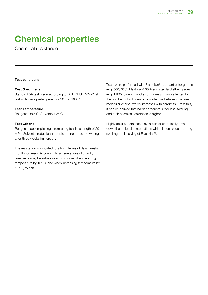Chemical resistance

### Test conditions

### Test Specimens

Standard 5A test piece according to DIN EN ISO 527-2, all test rods were pretempered for 20 h at 100° C.

#### Test Temperature

Reagents: 60° C; Solvents: 23° C

### Test Criteria

Reagents: accomplishing a remaining tensile strength of 20 MPa. Solvents: reduction in tensile strength due to swelling after three weeks immersion.

The resistance is indicated roughly in terms of days, weeks, months or years. According to a general rule of thumb, resistance may be extrapolated to double when reducing temperature by 10° C, and when increasing temperature by 10° C, to half.

Tests were performed with Elastollan® standard ester grades (e.g. 500, 800), Elastollan® 85 A and standard ether grades (e.g. 1100). Swelling and solution are primarily affected by the number of hydrogen bonds effective between the linear molecular chains, which increases with hardness. From this, it can be derived that harder products suffer less swelling, and their chemical resistance is higher.

Highly polar substances may in part or completely break down the molecular interactions which in turn causes strong swelling or dissolving of Elastollan®.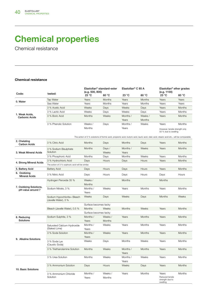Chemical resistance

#### Chemical resistance

|                                  |                       |               | Elastollan <sup>®</sup> standard-ester<br>(e.g. 500, 800) |          | Elastollan <sup>®</sup> C 85 A |                                                        | Elastollan <sup>®</sup> ether grades<br>(e.g. 1100) |  |
|----------------------------------|-----------------------|---------------|-----------------------------------------------------------|----------|--------------------------------|--------------------------------------------------------|-----------------------------------------------------|--|
| Code:                            | tested:               | 23 °C         | 60 °C                                                     | 23 °C    | 60 °C                          | 23 °C                                                  | 60 °C                                               |  |
|                                  | <b>Tap Water</b>      | Years         | <b>Months</b>                                             | Years    | <b>Months</b>                  | Years                                                  | Years                                               |  |
| 0. Water                         | Sea Water             | Years         | <b>Months</b>                                             | Years    | Months                         | Years                                                  | Years                                               |  |
| 1. Weak Acids.<br>Carbonic Acids | 3 % Acetic Acid       | Weeks         | Days                                                      | Weeks    | Days                           | Years                                                  | <b>Months</b>                                       |  |
|                                  | 3 % Lactic Acid       | Weeks         | Days                                                      | Weeks    | Days                           | Years                                                  | Months                                              |  |
|                                  | 3 % Boric Acid        | <b>Months</b> | Weeks                                                     | Months / | Weeks /                        | Years                                                  | <b>Months</b>                                       |  |
|                                  |                       |               |                                                           | Years    | <b>Months</b>                  |                                                        |                                                     |  |
|                                  | 3 % Phenolic Solution | Weeks /       | Days                                                      | Months / | Weeks                          | Years                                                  | Months                                              |  |
|                                  |                       | Months        |                                                           | Years    |                                | However, tensile strength only<br>50 % due to swelling |                                                     |  |

The action of 3 % solutions of formic acid, propionic acid, butyric acid, lauric acid, oleic acid, stearic acid etc., will be comparable.

| 2. Chelating<br><b>Carbon Acids</b>          | 3 % Citric Acid                                     | <b>Months</b>         | Days            | <b>Months</b>     | Days          | Years                                          | <b>Months</b> |  |  |  |
|----------------------------------------------|-----------------------------------------------------|-----------------------|-----------------|-------------------|---------------|------------------------------------------------|---------------|--|--|--|
| 3. Weak Mineral Acids                        | 3 % Sodium Bisulphate<br>Solution                   | <b>Months</b>         | Days /<br>Weeks | Months /<br>Years | Weeks         | Years                                          | <b>Months</b> |  |  |  |
|                                              | 3 % Phosphoric Acid                                 | Months                | Days            | Months            | Weeks         | Years                                          | Months        |  |  |  |
|                                              | 3 % Hydrochloric Acid                               | Days                  | Hours           | Days              | Hours         | Years                                          | <b>Months</b> |  |  |  |
| 4. Strong Mineral Acids                      | The action of 3 % sulphuric acid will be similar.   |                       |                 |                   |               |                                                |               |  |  |  |
| 5. Battery Acid                              | <b>Battery Acid</b>                                 | Days                  | Hours           | Days              | Hours         | Years                                          | <b>Months</b> |  |  |  |
| 6. Oxidizing<br><b>Mineral Acids</b>         | 3 % Nitric Acid                                     | Days                  | Hours           | Days              | Hours         | Days                                           | Hours         |  |  |  |
|                                              | Hydrogen Peroxide 35 %                              | Weeks /               |                 | <b>Months</b>     |               | <b>Months</b>                                  |               |  |  |  |
|                                              |                                                     | <b>Months</b>         |                 |                   |               |                                                |               |  |  |  |
| 7. Oxidizing Solutions,<br>pH-value around 7 | Sodium Nitrate, 3 %                                 | Months /              | Weeks           | Years             | Months        | Years                                          | Months        |  |  |  |
|                                              |                                                     | Years                 |                 |                   |               |                                                |               |  |  |  |
|                                              | Sodium Hypochlorite= Bleach<br>(Javelle Water), 3 % | Weeks                 | Days            | Weeks             | Days          | <b>Months</b>                                  | Weeks         |  |  |  |
|                                              |                                                     | Surface becomes tacky |                 |                   |               |                                                |               |  |  |  |
|                                              | Bleach (Javelle Water), 0.5 %                       | Months                | Weeks           | <b>Months</b>     | Weeks         | Years                                          | Months        |  |  |  |
|                                              |                                                     | Surface becomes tacky |                 |                   |               |                                                |               |  |  |  |
| 8. Reducing                                  | Sodium Sulphite, 3 %                                | Months /              | Weeks /         | Years             | <b>Months</b> | Years                                          | Months        |  |  |  |
| Solutions                                    |                                                     | Years                 | Months          |                   |               |                                                |               |  |  |  |
|                                              | Saturated Calcium Hydroxide                         | Months /              | Weeks           | Years             | Months        | Years                                          | Months        |  |  |  |
|                                              | (Slaked Lime)                                       | Years                 |                 |                   |               |                                                |               |  |  |  |
|                                              | 3 % Soda Solution                                   | Months /              | Weeks           | Years             | <b>Months</b> | Years                                          | <b>Months</b> |  |  |  |
| 9. Alkaline Solutions                        |                                                     | Years                 |                 |                   |               |                                                |               |  |  |  |
|                                              | 3 % Soda Lye<br>(Caustic Soda)                      | Weeks                 | Days            | Months            | Weeks         | Years                                          | Months        |  |  |  |
|                                              | 3 % Triethanolamine Solution                        | <b>Months</b>         | Weeks           | Months /          | <b>Months</b> | Years                                          | <b>Months</b> |  |  |  |
|                                              |                                                     |                       |                 | Years             |               |                                                |               |  |  |  |
|                                              | 3 % Urea Solution                                   | <b>Months</b>         | Weeks           | Months /          | Weeks         | Years                                          | Months        |  |  |  |
|                                              |                                                     |                       |                 | Years             |               |                                                |               |  |  |  |
| 10. Basic Solutions                          | 3 % Ammonium Solution                               | Days                  | Hours           | Weeks             | Days          | Years                                          | <b>Months</b> |  |  |  |
|                                              | 3 % Ammonium Chloride                               | Months /              | Weeks /         | Years             | Months        | Years                                          | Months        |  |  |  |
|                                              | Solution                                            | Years                 | Months          |                   |               | Reduced tensile<br>strength due to<br>swelling |               |  |  |  |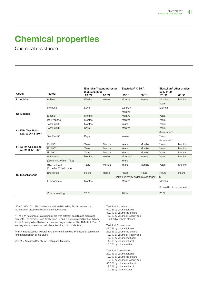Chemical resistance

| Code:<br>tested:<br>23 °C<br>23 °C<br>60 °C<br>23 °C<br>60 °C<br>11. Adblue<br>Adblue<br>Weeks<br>Weeks<br><b>Months</b><br>Weeks<br>Months / | 60 °C<br><b>Months</b> |
|-----------------------------------------------------------------------------------------------------------------------------------------------|------------------------|
|                                                                                                                                               |                        |
|                                                                                                                                               |                        |
| Years                                                                                                                                         |                        |
| Methanol<br>Weeks /<br>Months<br>Days                                                                                                         |                        |
| Months<br>12. Alcohols                                                                                                                        |                        |
| Years<br>Ethanol<br><b>Months</b><br><b>Months</b>                                                                                            |                        |
| Iso-Propanol<br>Months<br>Months<br>Years                                                                                                     |                        |
| Test Fluid C<br>Months<br>Years<br>Years                                                                                                      |                        |
| <b>Test Fluid B</b><br><b>Months</b><br>Years<br>Days                                                                                         |                        |
| 13. FAM Test Fluids<br>Strong swelling<br>acc. to DIN 51604*                                                                                  |                        |
| Test Fluid C<br>Weeks<br>Days<br>Years                                                                                                        |                        |
| Strong swelling                                                                                                                               |                        |
| <b>IRM 901</b><br>Years<br><b>Months</b><br>Years<br><b>Months</b><br>Years                                                                   | Months                 |
| 14. ASTM-Oils acc. to<br><b>IRM 902</b><br>Years<br>Years<br><b>Months</b><br>Years<br><b>Months</b><br>ASTM D 471-06**                       | <b>Months</b>          |
| <b>IRM 903</b><br>Years<br>Months<br>Years<br><b>Months</b><br>Years                                                                          | Months                 |
| <b>Months</b><br>Weeks<br>Months /<br>Weeks<br>Years<br>Anti-freeze                                                                           | <b>Months</b>          |
| (Glysantine/Water 1/1.5)<br>Years                                                                                                             |                        |
| <b>Months</b><br>Years<br><b>Months</b><br>Years<br>Years<br>Silicone Fluid<br>(Dimethyl Polysiloxane)                                        | <b>Months</b>          |
| <b>Hours</b><br>Hours<br>Hours<br><b>Brake Fluid</b><br>Hours<br><b>Hours</b>                                                                 | <b>Hours</b>           |
| 15. Miscellaneous<br>Brake fluid/many hydraulic oils attack TPU                                                                               |                        |
| Months<br>Months<br>Months<br>Ethyl Acetate                                                                                                   |                        |
| Reduced tensiled due to swelling                                                                                                              |                        |
| 70 %<br>Volume swelling:<br>75 %<br>70 %                                                                                                      |                        |

\* DIN 51 604, 03.1984, is the standard, etablished by FAM to assess the resistance of plastic materials to automotive fuels.

\*\* The IRM reference oils are mineral oils with different paraffin and aromatics contents. The formerly used ASTM oils 1, 2 and 3 were replaced by the IRM oils 1, 2 and 3 owing to health risks, and are no longer available. The IRM oils 1, 2 and 3 are very similar in terms of their characteristics, but not identical.

(FAM = Fachausschuß Mineral- und Brennstoffnormung-Professional committee for standardization of fuel stuffs)

(ASTM = American Society for Testing and Materials)

Test fluid A consists of:

- 50.0 % by volume toluene
- 30.0 % by volume iso-octane
- 15.0 % by volume di-isobutylene 5.0 % by volume ethanol

Test fluid B consists of: 42.0 % by volume toluene 25.5 % by volume iso-octane 13.0 % by volume di-isobutylene 15.0 % by volume methanol 4.0 % by volume ethanol 0.5 % by volume water

Test fluid C consists of:

- 20.0 % by volume toluene
- 12.0 % by volume iso-octane
- 6.0 % by volume di-isobutylene
- 58.0 % by volume methanol 2.0 % by volume ethanol
- 2.0 % by volume water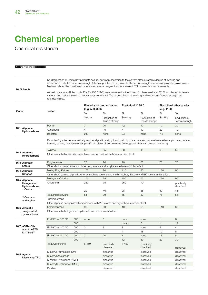Chemical resistance

| <b>Solvents resistance</b>                                  |                                                                                                                                                                                                                                                                                                                                                                                     |        |                                                           |                                 |                                |                                 |                                                     |                                 |  |
|-------------------------------------------------------------|-------------------------------------------------------------------------------------------------------------------------------------------------------------------------------------------------------------------------------------------------------------------------------------------------------------------------------------------------------------------------------------|--------|-----------------------------------------------------------|---------------------------------|--------------------------------|---------------------------------|-----------------------------------------------------|---------------------------------|--|
|                                                             | No degradation of Elastollan® products occurs, however, according to the solvent class a variable degree of swelling and<br>consequent reduction in tensile strength (after evaporation of the solvents, the tensile strength recovers approx, its original value).<br>Methanol should be considered more as a chemical reagent than as a solvent. TPU is soluble in some solvents. |        |                                                           |                                 |                                |                                 |                                                     |                                 |  |
| 16. Solvents                                                | As test procedure, 5A test rods (DIN EN ISO 527-2) were immersed in the solvent for three weeks at 23° C, and tested for tensile<br>strength and residual swell 15 minutes after withdrawal. The values of volume swelling and reduction of tensile strength are<br>rounded values.                                                                                                 |        |                                                           |                                 |                                |                                 |                                                     |                                 |  |
|                                                             |                                                                                                                                                                                                                                                                                                                                                                                     |        | Elastollan <sup>®</sup> standard-ester<br>(e.g. 500, 800) |                                 | Elastollan <sup>®</sup> C 85 A |                                 | Elastollan <sup>®</sup> ether grades<br>(e.g. 1100) |                                 |  |
| Code:                                                       | tested:                                                                                                                                                                                                                                                                                                                                                                             |        | $\%$                                                      | $\%$                            | $\%$                           | %                               | $\%$                                                | $\%$                            |  |
|                                                             |                                                                                                                                                                                                                                                                                                                                                                                     |        | Swelling                                                  | Reduction of<br>Tensile strengh | Swelling                       | Reduction of<br>Tensile strengh | Swelling                                            | Reduction of<br>Tensile strengh |  |
|                                                             | Pentan                                                                                                                                                                                                                                                                                                                                                                              |        | 3                                                         | 20                              | 4,5                            | 10                              | 10                                                  | 20                              |  |
| 16.1. Aliphatic                                             | Cyclohexan                                                                                                                                                                                                                                                                                                                                                                          |        | $\overline{4}$                                            | 15                              | $\overline{7}$                 | 10                              | 22                                                  | 10                              |  |
| Hydrocarbons                                                | Isooctan                                                                                                                                                                                                                                                                                                                                                                            |        | 2.5                                                       | none                            | 2.5                            | none                            | 7.5                                                 | none                            |  |
|                                                             | Elastollan <sup>®</sup> grades behave similarly in other aliphatic and cyclo-aliphatic hydrocarbons such as methane, ethane, propane, butane,<br>hexane, octane, petroleum ether, paraffin oil, diesel oil and kerosine (although additives can present problems).                                                                                                                  |        |                                                           |                                 |                                |                                 |                                                     |                                 |  |
| 16.2. Aromatic                                              | Toluene                                                                                                                                                                                                                                                                                                                                                                             |        | 52                                                        | 55                              | 60                             | 45                              | 65                                                  | 50                              |  |
| Hydrocarbons                                                | Other aromatic hydrocarbons such as benzene and xylene have a similar affect.                                                                                                                                                                                                                                                                                                       |        |                                                           |                                 |                                |                                 |                                                     |                                 |  |
| 16.3. Aliphatic<br><b>Esters</b>                            | <b>Ethyl Acetate</b>                                                                                                                                                                                                                                                                                                                                                                |        | 75                                                        | 70                              | 70                             | 65                              | 70                                                  | 75                              |  |
|                                                             | Other short-chained esters such as butyl acetate and amyi acetate have a similar affect.                                                                                                                                                                                                                                                                                            |        |                                                           |                                 |                                |                                 |                                                     |                                 |  |
| 16.4. Aliphatic                                             | Methyl Ethyl Ketone                                                                                                                                                                                                                                                                                                                                                                 |        | 105                                                       | 80                              | 110                            | 80                              | 130                                                 | 90                              |  |
| Ketones                                                     | Other short-chained aliphatic ketones such as acetone and methyl isobutyl ketone = MIBK have a similar affect.                                                                                                                                                                                                                                                                      |        |                                                           |                                 |                                |                                 |                                                     |                                 |  |
| 16.5. Aliphatic<br>Halogenated<br>Hydrocarbons,<br>1 C-atom | Methylene Chloride                                                                                                                                                                                                                                                                                                                                                                  |        | 175                                                       | 75                              | 155                            | 65                              | 190                                                 | 95                              |  |
|                                                             | Chloroform                                                                                                                                                                                                                                                                                                                                                                          |        | 280                                                       | 75                              | 260                            | 70                              |                                                     | practically<br>dissolved        |  |
|                                                             |                                                                                                                                                                                                                                                                                                                                                                                     |        | 20                                                        | 40                              | 28                             | 35                              | 50                                                  | 45                              |  |
|                                                             | Tetrachloroethylene                                                                                                                                                                                                                                                                                                                                                                 |        | 54                                                        | 39                              | 65                             | 39                              | 75                                                  | 54                              |  |
| 2 C-atoms<br>and higher                                     | Trichloroethane                                                                                                                                                                                                                                                                                                                                                                     |        |                                                           |                                 |                                |                                 |                                                     |                                 |  |
|                                                             | Other aliphatic halogenated hydrocarbons with 2 C-atoms and higher have a similar affect.                                                                                                                                                                                                                                                                                           |        |                                                           |                                 |                                |                                 |                                                     |                                 |  |
| 16.6. Aromatic                                              | Chlorobenzene                                                                                                                                                                                                                                                                                                                                                                       |        | 90                                                        | 60                              | 100                            | 55                              | 110                                                 | 60                              |  |
| Halogenated<br>Hydrocarbons                                 | Other aromatic halogenated hydrocarbons have a similar affect.                                                                                                                                                                                                                                                                                                                      |        |                                                           |                                 |                                |                                 |                                                     |                                 |  |
|                                                             | IRM 901 at 100 °C                                                                                                                                                                                                                                                                                                                                                                   | 500h   | none                                                      | $\mathbf{1}$                    | none                           | none                            | $\mathbf{1}$                                        | 6                               |  |
|                                                             |                                                                                                                                                                                                                                                                                                                                                                                     | 1000 h |                                                           |                                 | none                           | 6                               | $\mathbf{1}$                                        | 14                              |  |
| 16.7. ASTM-Oils                                             | IRM 902 at 100 °C                                                                                                                                                                                                                                                                                                                                                                   | 500 h  | 3                                                         | 8                               | 3                              | none                            | 9                                                   | $\overline{4}$                  |  |
| acc. to ASTM<br>D 471-06**                                  |                                                                                                                                                                                                                                                                                                                                                                                     | 1000 h |                                                           |                                 | 4                              | 18                              | 10                                                  | 5                               |  |
|                                                             | IRM 903 at 100 °C                                                                                                                                                                                                                                                                                                                                                                   | 500 h  | $\overline{7}$                                            | 20                              | $\overline{7}$                 | none                            | 18                                                  | 8                               |  |
|                                                             |                                                                                                                                                                                                                                                                                                                                                                                     | 1000 h |                                                           |                                 | 12                             | 50                              | 20                                                  | 30                              |  |
|                                                             | Tetrahydrofurane                                                                                                                                                                                                                                                                                                                                                                    |        | >450                                                      | practically<br>dissolved        | >450                           | practically<br>dissolved        |                                                     | dissolved                       |  |
|                                                             | Dimethyl Formamide (DMF)                                                                                                                                                                                                                                                                                                                                                            |        |                                                           | dissolved                       |                                | dissolved                       |                                                     | dissolved                       |  |
| 16.8. Agents<br><b>Dissolving TPU</b>                       | Dimethyl Acetamide                                                                                                                                                                                                                                                                                                                                                                  |        |                                                           | dissolved                       |                                | dissolved                       |                                                     | dissolved                       |  |
|                                                             | N-Methyl Pyrrolidone (NMP)                                                                                                                                                                                                                                                                                                                                                          |        |                                                           | dissolved                       |                                | dissolved                       |                                                     | dissolved                       |  |
|                                                             | Dimethyl Sulphoxide (DMSO)                                                                                                                                                                                                                                                                                                                                                          |        |                                                           | dissolved                       |                                | dissolved                       |                                                     | dissolved                       |  |
|                                                             | Pyridine                                                                                                                                                                                                                                                                                                                                                                            |        |                                                           | dissolved                       |                                | dissolved                       |                                                     | dissolved                       |  |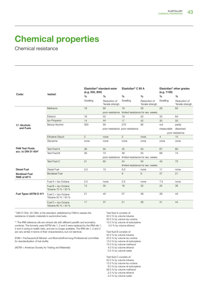Chemical resistance

| Code:                                         | tested:                                      | Elastollan <sup>®</sup> standard-ester<br>(e.g. 500, 800) |                                 | Elastollan <sup>®</sup> C 85 A                    |                                 | Elastollan <sup>®</sup> ether grades<br>(e.g. 1100) |                                 |
|-----------------------------------------------|----------------------------------------------|-----------------------------------------------------------|---------------------------------|---------------------------------------------------|---------------------------------|-----------------------------------------------------|---------------------------------|
|                                               |                                              | $\frac{0}{0}$                                             | $\%$                            | $\%$                                              | $\%$                            | $\%$                                                | $\%$                            |
|                                               |                                              | Swelling                                                  | Reduction of<br>Tensile strengh | Swelling                                          | Reduction of<br>Tensile strengh | Swelling                                            | Reduction of<br>Tensile strengh |
|                                               | Methanol                                     | 18                                                        | 80                              | 18                                                | 58                              | 28                                                  | 60                              |
|                                               |                                              |                                                           |                                 | poor resistance limited resistance for sev. weeks |                                 |                                                     |                                 |
|                                               | Ethanol                                      | 16                                                        | 52                              | 18                                                | 52                              | 33                                                  | 64                              |
|                                               | Iso-Propanol                                 | 14                                                        | 44                              | 17                                                | 42                              | 30                                                  | 50                              |
| 17. Alcohols                                  | Benzyl Alcohol                               | 300                                                       | 95                              | 270                                               | 85                              | not                                                 | partly                          |
| and Fuels                                     |                                              |                                                           | poor resistance poor resistance |                                                   |                                 | measurable                                          | dissolved                       |
|                                               |                                              |                                                           |                                 |                                                   |                                 |                                                     | poor resistance                 |
|                                               | Ethylene Glycol                              | $\overline{2}$                                            | none                            | 2                                                 | none                            | $\overline{4}$                                      | 15                              |
|                                               | Glycerine                                    | none                                                      | none                            | none                                              | none                            | none                                                | none                            |
|                                               |                                              |                                                           |                                 |                                                   |                                 |                                                     |                                 |
| <b>FAM Test Fluids</b><br>acc. to DIN 51 604* | <b>Test Fluid A</b>                          | 39                                                        | 55                              | 45                                                | 50                              | 67                                                  | 60                              |
|                                               | Test Fluid B                                 | 38                                                        | 72                              | 38                                                | 55                              | 68                                                  | 74                              |
|                                               |                                              |                                                           | poor resistance                 | limited resistance for sev. weeks                 |                                 |                                                     |                                 |
|                                               | Test Fluid C                                 | 21                                                        | 60                              | 24                                                | 50                              | 43                                                  | 70                              |
|                                               |                                              |                                                           |                                 | limited resistance for sev. weeks                 |                                 |                                                     |                                 |
| <b>Diesel Fuel</b>                            | <b>Diesel Fuel</b>                           | 3,0                                                       | 15                              | 5,0                                               | none                            | 11                                                  | none                            |
| <b>Biodiesel Fuel</b><br>RME at 60°C          | <b>Biodiesel Fuel</b>                        |                                                           |                                 | 9                                                 | 9                               | 27                                                  | 21                              |
|                                               | Fuel $A = Iso-Octane$                        | 2.5                                                       | none                            | 2.5                                               | none                            | 7.5                                                 | none                            |
|                                               | Fuel $B = Iso-Octane$<br>Toluene 70 % / 30 % | 13                                                        | 30                              | 18                                                | 32                              | 25                                                  | 36                              |
| Fuel Types ASTM D 471                         | Fuel $C = Iso-Octane$<br>Toluene 50 % / 50 % | 21                                                        | 40                              | 27                                                | 38                              | 38                                                  | 44                              |
|                                               | Fuel $D = Iso-Octane$<br>Toluene 60 % / 40 % | 17                                                        | 37                              | 21                                                | 36                              | 31                                                  | 44                              |

\* DIN 51 604, 03.1984, is the standard, etablished by FAM to assess the resistance of plastic materials to automotive fuels.

\*\* The IRM reference oils are mineral oils with different paraffin and aromatics contents. The formerly used ASTM oils 1, 2 and 3 were replaced by the IRM oils 1, 2 and 3 owing to health risks, and are no longer available. The IRM oils 1, 2 and 3 are very similar in terms of their characteristics, but not identical.

(FAM = Fachausschuß Mineral- und Brennstoffnormung-Professional committee for standardization of fuel stuffs)

(ASTM = American Society for Testing and Materials)

Test fluid A consists of:

50.0 % by volume toluene

30.0 % by volume iso-octane

15.0 % by volume di-isobutylene 5.0 % by volume ethanol

Test fluid B consists of: 42.0 % by volume toluene

25.5 % by volume iso-octane

13.0 % by volume di-isobutylene

15.0 % by volume methanol

 4.0 % by volume ethanol 0.5 % by volume water

Test fluid C consists of:

20.0 % by volume toluene

12.0 % by volume iso-octane

6.0 % by volume di-isobutylene

58.0 % by volume methanol

2.0 % by volume ethanol

2.0 % by volume water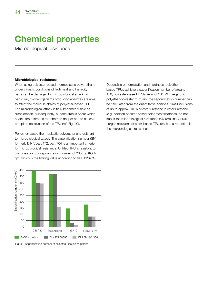Microbiological resistance

#### Microbiological resistance

When using polyester-based thermoplastic polyurethane under climatic conditions of high heat and humidity, parts can be damaged by microbiological attack. In particular, micro-organisms producing enzymes are able to affect the molecule chains of polyester-based TPU. The microbiological attack initially becomes visible as discoloration. Subsequently, surface cracks occur which enable the microbes to penetrate deeper and to cause a complete destruction of the TPU (ref. Fig. 40).

Polyether-based thermoplastic polyurethane is resistant to microbiological attack. The saponification number (SN) formerly DIN VDE 0472, part 704 is an important criterion for microbiological resistance. Unfilled TPU is resistant to microbes up to a saponification number of 200 mg KOH/ gm, which is the limiting value according to VDE 0282/10.



Fig. 40: Saponification number of selected Elastollan® grades

Depending on formulation and hardness, polyetherbased TPUs achieve a saponification number of around 150, polyester-based TPUs around 450. With regard to polyether-polyester mixtures, the saponification number can be calculated from the quantitative portions. Small inclusions of up to approx. 10 % of ester urethane in ether urethane (e.g. addition of ester-based color masterbatches) do not impair the microbiological resistance (SN remains < 200). Larger inclusions of ester-based TPU result in a reduction in the microbiological resistance.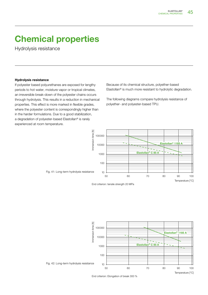Hydrolysis resistance

#### Hydrolysis resistance

If polyester based polyurethanes are exposed for lengthy periods to hot water, moisture vapor or tropical climates, an irreversible break-down of the polyester chains occurs through hydrolysis. This results in a reduction in mechanical properties. This effect is more marked in flexible grades, where the polyester content is correspondingly higher than in the harder formulations. Due to a good stabilization, a degradation of polyester-based Elastollan® is rarely experienced at room temperature.

Because of its chemical structure, polyether-based Elastollan® is much more resistant to hydrolytic degradation.

The following diagrams compare hydrolysis resistance of polyether- and polyester-based TPU.



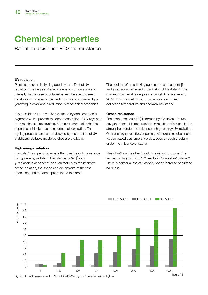Radiation resistance • Ozone resistance

#### UV radiation

Plastics are chemically degraded by the effect of UV radiation. The degree of ageing depends on duration and intensity. In the case of polyurethanes, the effect is seen initially as surface embrittlement. This is accompanied by a yellowing in color and a reduction in mechanical properties.

It is possible to improve UV resistance by addition of color pigments which prevent the deep penetration of UV rays and thus mechanical destruction. Moreover, dark color shades, in particular black, mask the surface discoloration. The ageing process can also be delayed by the addition of UV stabilizers. Suitable masterbatches are available.

#### High energy radiation

Elastollan® is superior to most other plastics in its resistance to high energy radiation. Resistance to  $\alpha$ -,  $\beta$ - and γ-radiation is dependent on such factors as the intensity of the radiation, the shape and dimensions of the test specimen, and the atmosphere in the test area.

The addition of crosslinking agents and subsequent  $\beta$ and γ-radiation can effect crosslinking of Elastollan®. The maximum achievable degrees of crosslinking are around 90 %. This is a method to improve short-term heat deflection temperature and chemical resistance.

#### Ozone resistance

The ozone molecule  $(O_3)$  is formed by the union of three oxygen atoms. It is generated from reaction of oxygen in the atmosphere under the influence of high energy UV-radiation. Ozone is highly reactive, especially with organic substances. Rubberbased elastomers are destroyed through cracking under the influence of ozone.

Elastollan®, on the other hand, is resistant to ozone. The test according to VDE 0472 results in "crack-free", stage 0. There is neither a loss of elasticity nor an increase of surface hardness.



#### L 1185 A 12 1185 A 10 U 1185 A 10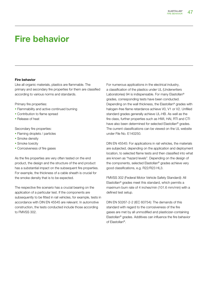### Fire behavior

#### Fire behavior

Like all organic materials, plastics are flammable. The primary and secondary fire properties for them are classified according to various norms and standards.

Primary fire properties:

- **Flammability and active continued burning**
- Contribution to flame spread
- **Release of heat**

Secondary fire properties:

- Flaming droplets / particles
- **Smoke density**
- **Smoke toxicity**
- **Corrosiveness of fire gases**

As the fire properties are very often tested on the end product, the design and the structure of the end product has a substantial impact on the subsequent fire properties. For example, the thickness of a cable sheath is crucial for the smoke density that is to be expected.

The respective fire scenario has a crucial bearing on the application of a particular test. If the components are subsequently to be fitted in rail vehicles, for example, tests in accordance with DIN EN 45545 are relevant. In automotive construction, the tests conducted include those according to FMVSS 302.

For numerous applications in the electrical industry, a classification of the plastics under UL (Underwriters Laboratories) 94 is indispensable. For many Elastollan<sup>®</sup> grades, corresponding tests have been conducted. Depending on the wall thickness, the Elastollan® grades with halogen-free flame retardance achieve V0, V1 or V2. Unfilled standard grades generally achieve UL-HB. As well as the fire class, further properties such as HWI, HAI, RTI and CTI have also been determined for selected Elastollan® grades. The current classifications can be viewed on the UL website under File No. E140250.

DIN EN 45545: For applications in rail vehicles, the materials are subjected, depending on the application and deployment location, to selected flame tests and then classified into what are known as "hazard levels". Depending on the design of the components, selected Elastollan® grades achieve very good classifications, e.g. R22/R23 HL3.

FMVSS 302 (Federal Motor Vehicle Safety Standard): All Elastollan® grades meet this standard, which permits a maximum burn rate of 4 inches/min (101.6 mm/min) with a defined test setup.

DIN EN 50267-2-2 (IEC 60754): The demands of this standard with regard to the corrosiveness of the fire gases are met by all unmodified and plasticizer-containing Elastollan® grades. Additives can influence the fire behavior of Elastollan®.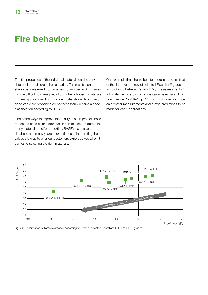### Fire behavior

The fire properties of the individual materials can be very different in the different fire scenarios. The results cannot simply be transferred from one test to another, which makes it more difficult to make predictions when choosing materials for new applications. For instance, materials displaying very good cable fire properties do not necessarily receive a good classification according to UL94V.

One of the ways to improve the quality of such predictions is to use the cone calorimeter, which can be used to determine many material-specific properties. BASF's extensive database and many years of experience of interpreting these values allow us to offer our customers expert advice when it comes to selecting the right materials.

One example that should be cited here is the classification of the flame retardancy of selected Elastollan® grades according to Petrella (Petrella R.V., The assessment of full scale fire hazards from cone calorimeter data, J. of Fire Science, 12 (1994), p. 14), which is based on cone calorimeter measurements and allows predictions to be made for cable applications.



Fig. 44: Classification of flame retardancy according to Petrella; selected Elastollan® FHF and HFFR grades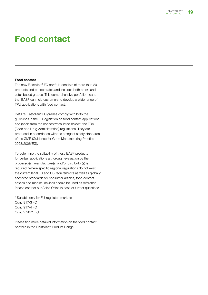### Food contact

#### Food contact

The new Elastollan® FC portfolio consists of more than 20 products and concentrates and includes both ether- and ester-based grades. This comprehensive portfolio means that BASF can help customers to develop a wide range of TPU applications with food contact.

BASF's Elastollan® FC grades comply with both the guidelines in the EU legislation on food contact applications and (apart from the concentrates listed below\*) the FDA (Food and Drug Administration) regulations. They are produced in accordance with the stringent safety standards of the GMP (Guidance for Good Manufacturing Practice 2023/2006/EG).

To determine the suitability of these BASF products for certain applications a thorough evaluation by the processor(s), manufacturer(s) and/or distributor(s) is required. Where specific regional regulations do not exist, the current legal EU and US requirements as well as globally accepted standards for consumer articles, food contact articles and medical devices should be used as reference. Please contact our Sales Office in case of further questions.

\* Suitable only for EU-regulated markets Conc 917/3 FC Conc 917/4 FC Conc V 2871 FC

Please find more detailed information on the food contact portfolio in the Elastollan® Product Range.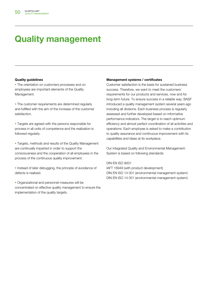### Quality management

#### Quality guidelines

• The orientation on customers processes and on employees are important elements of the Quality Management.

• The customer requirements are determined reqularly and fulfilled with the aim of the increase of the customer satisfaction.

**Targets are agreed with the persons responsible for** process in all units of competence and the realization is followed regularly.

**Targets, methods and results of the Quality Management** are continually imparted in order to support the consciousness and the cooperation of all employees in the process of the continuous quality improvement.

**Instead of later debugging, the principle of avoidance of** defects is realized.

• Organizational and personnel measures will be concentrated on effective quality management to ensure the implementation of the quality targets.

#### Management systems / certificates

Customer satisfaction is the basis for sustained business success. Therefore, we want to meet the customers' requirements for our products and services, now and for long-term future. To ensure success in a reliable way, BASF introduced a quality management system several years ago including all divisions. Each business process is regularly assessed and further developed based on informative performance indicators. The target is to reach optimum efficiency and almost perfect coordination of all activities and operations. Each employee is asked to make a contribution to quality assurance and continuous improvement with its capabilities and ideas at its workplace.

Our integrated Quality and Environmental Management-System is based on following standards:

#### DIN EN ISO 9001

IAFT 16949 (with product development) DIN EN ISO 14 001 (environmental management system) DIN EN ISO 14 001 (environmental management system)